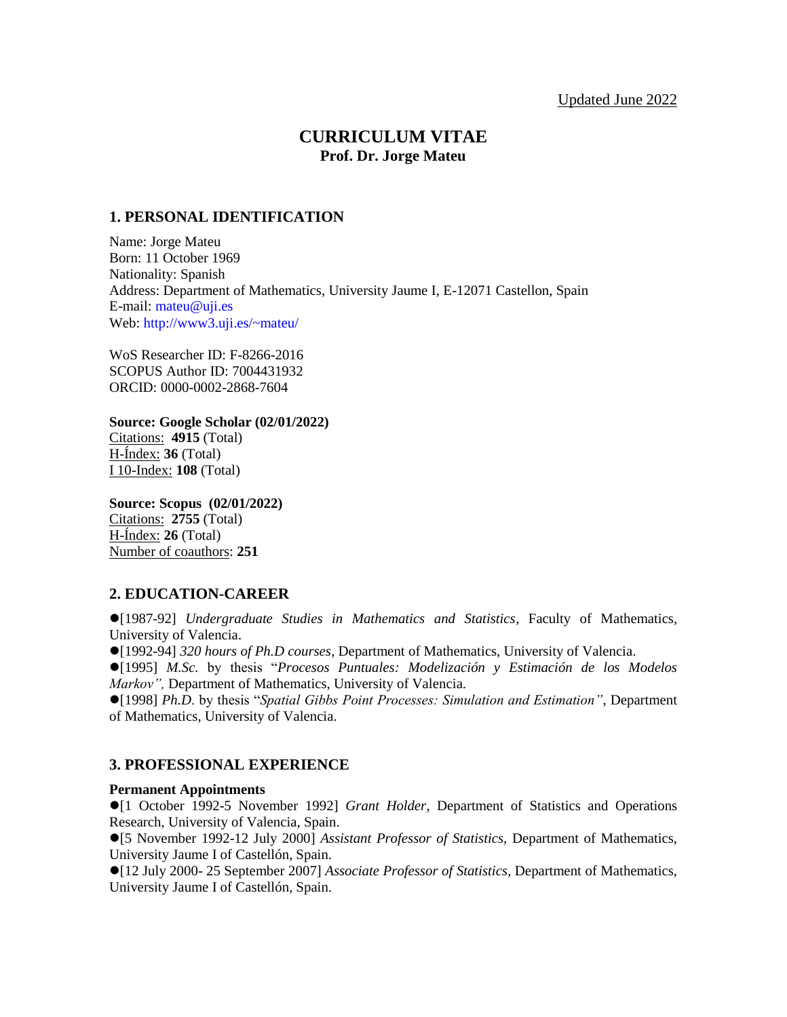# **CURRICULUM VITAE Prof. Dr. Jorge Mateu**

# **1. PERSONAL IDENTIFICATION**

Name: Jorge Mateu Born: 11 October 1969 Nationality: Spanish Address: Department of Mathematics, University Jaume I, E-12071 Castellon, Spain E-mail: [mateu@uji.es](mailto:mateu@uji.es) Web[: http://www3.uji.es/~mateu/](http://www3.uji.es/~mateu/)

WoS Researcher ID: F-8266-2016 SCOPUS Author ID: 7004431932 ORCID: 0000-0002-2868-7604

**Source: Google Scholar (02/01/2022)** Citations: **4915** (Total) H-Índex: **36** (Total) I 10-Index: **108** (Total)

**Source: Scopus (02/01/2022)** Citations: **2755** (Total) H-Índex: **26** (Total) Number of coauthors: **251**

# **2. EDUCATION-CAREER**

[1987-92] *Undergraduate Studies in Mathematics and Statistics*, Faculty of Mathematics, University of Valencia.

[1992-94] *320 hours of Ph.D courses*, Department of Mathematics, University of Valencia.

[1995] *M.Sc.* by thesis "*Procesos Puntuales: Modelización y Estimación de los Modelos Markov",* Department of Mathematics, University of Valencia.

[1998] *Ph.D*. by thesis "*Spatial Gibbs Point Processes: Simulation and Estimation"*, Department of Mathematics, University of Valencia.

# **3. PROFESSIONAL EXPERIENCE**

# **Permanent Appointments**

[1 October 1992-5 November 1992] *Grant Holder*, Department of Statistics and Operations Research, University of Valencia, Spain.

[5 November 1992-12 July 2000] *Assistant Professor of Statistics,* Department of Mathematics, University Jaume I of Castellón, Spain.

[12 July 2000- 25 September 2007] *Associate Professor of Statistics,* Department of Mathematics, University Jaume I of Castellón, Spain.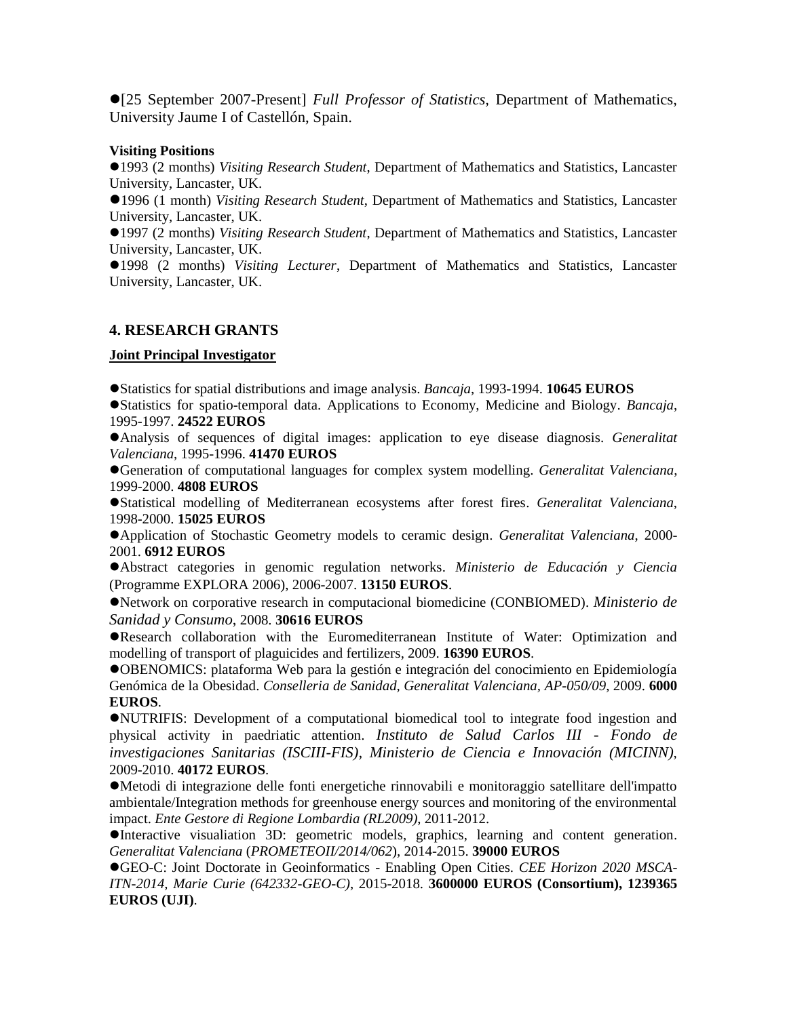[25 September 2007-Present] *Full Professor of Statistics,* Department of Mathematics, University Jaume I of Castellón, Spain.

#### **Visiting Positions**

1993 (2 months) *Visiting Research Student*, Department of Mathematics and Statistics, Lancaster University, Lancaster, UK.

1996 (1 month) *Visiting Research Student*, Department of Mathematics and Statistics, Lancaster University, Lancaster, UK.

1997 (2 months) *Visiting Research Student*, Department of Mathematics and Statistics, Lancaster University, Lancaster, UK.

1998 (2 months) *Visiting Lecturer*, Department of Mathematics and Statistics, Lancaster University, Lancaster, UK.

# **4. RESEARCH GRANTS**

#### **Joint Principal Investigator**

Statistics for spatial distributions and image analysis. *Bancaja*, 1993-1994. **10645 EUROS**

Statistics for spatio-temporal data. Applications to Economy, Medicine and Biology. *Bancaja*, 1995-1997. **24522 EUROS**

Analysis of sequences of digital images: application to eye disease diagnosis. *Generalitat Valenciana*, 1995-1996. **41470 EUROS**

Generation of computational languages for complex system modelling. *Generalitat Valenciana*, 1999-2000. **4808 EUROS**

Statistical modelling of Mediterranean ecosystems after forest fires. *Generalitat Valenciana*, 1998-2000. **15025 EUROS**

Application of Stochastic Geometry models to ceramic design. *Generalitat Valenciana*, 2000- 2001. **6912 EUROS**

Abstract categories in genomic regulation networks. *Ministerio de Educación y Ciencia* (Programme EXPLORA 2006), 2006-2007. **13150 EUROS**.

Network on corporative research in computacional biomedicine (CONBIOMED). *Ministerio de Sanidad y Consumo*, 2008. **30616 EUROS**

Research collaboration with the Euromediterranean Institute of Water: Optimization and modelling of transport of plaguicides and fertilizers, 2009. **16390 EUROS**.

OBENOMICS: plataforma Web para la gestión e integración del conocimiento en Epidemiología Genómica de la Obesidad. *Conselleria de Sanidad, Generalitat Valenciana, AP-050/09*, 2009. **6000 EUROS**.

NUTRIFIS: Development of a computational biomedical tool to integrate food ingestion and physical activity in paedriatic attention. *Instituto de Salud Carlos III - Fondo de investigaciones Sanitarias (ISCIII-FIS), Ministerio de Ciencia e Innovación (MICINN)*, 2009-2010. **40172 EUROS**.

Metodi di integrazione delle fonti energetiche rinnovabili e monitoraggio satellitare dell'impatto ambientale/Integration methods for greenhouse energy sources and monitoring of the environmental impact. *Ente Gestore di Regione Lombardia (RL2009)*, 2011-2012.

Interactive visualiation 3D: geometric models, graphics, learning and content generation. *Generalitat Valenciana* (*PROMETEOII/2014/062*), 2014-2015. **39000 EUROS**

GEO-C: Joint Doctorate in Geoinformatics - Enabling Open Cities. *CEE Horizon 2020 MSCA-ITN-2014, Marie Curie (642332-GEO-C)*, 2015-2018. **3600000 EUROS (Consortium), 1239365 EUROS (UJI)**.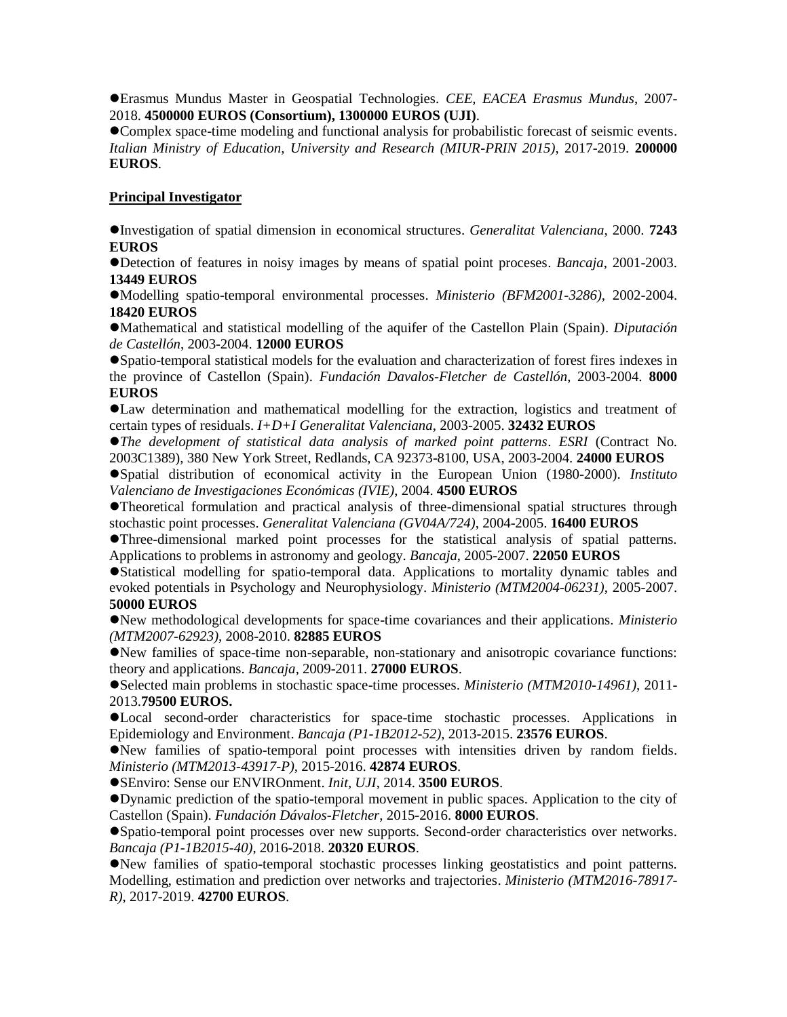Erasmus Mundus Master in Geospatial Technologies. *CEE, EACEA Erasmus Mundus*, 2007- 2018. **4500000 EUROS (Consortium), 1300000 EUROS (UJI)**.

Complex space-time modeling and functional analysis for probabilistic forecast of seismic events. *Italian Ministry of Education, University and Research (MIUR-PRIN 2015)*, 2017-2019. **200000 EUROS**.

# **Principal Investigator**

Investigation of spatial dimension in economical structures. *Generalitat Valenciana*, 2000. **7243 EUROS**

Detection of features in noisy images by means of spatial point proceses. *Bancaja*, 2001-2003. **13449 EUROS**

Modelling spatio-temporal environmental processes. *Ministerio (BFM2001-3286)*, 2002-2004. **18420 EUROS**

Mathematical and statistical modelling of the aquifer of the Castellon Plain (Spain). *Diputación de Castellón*, 2003-2004. **12000 EUROS**

Spatio-temporal statistical models for the evaluation and characterization of forest fires indexes in the province of Castellon (Spain). *Fundación Davalos-Fletcher de Castellón*, 2003-2004. **8000 EUROS**

Law determination and mathematical modelling for the extraction, logistics and treatment of certain types of residuals. *I+D+I Generalitat Valenciana*, 2003-2005. **32432 EUROS**

*The development of statistical data analysis of marked point patterns*. *ESRI* (Contract No. 2003C1389), 380 New York Street, Redlands, CA 92373-8100, USA, 2003-2004. **24000 EUROS**

Spatial distribution of economical activity in the European Union (1980-2000). *Instituto Valenciano de Investigaciones Económicas (IVIE)*, 2004. **4500 EUROS**

Theoretical formulation and practical analysis of three-dimensional spatial structures through stochastic point processes. *Generalitat Valenciana (GV04A/724)*, 2004-2005. **16400 EUROS**

Three-dimensional marked point processes for the statistical analysis of spatial patterns. Applications to problems in astronomy and geology. *Bancaja*, 2005-2007. **22050 EUROS**

Statistical modelling for spatio-temporal data. Applications to mortality dynamic tables and evoked potentials in Psychology and Neurophysiology. *Ministerio (MTM2004-06231)*, 2005-2007. **50000 EUROS**

New methodological developments for space-time covariances and their applications. *Ministerio (MTM2007-62923)*, 2008-2010. **82885 EUROS**

New families of space-time non-separable, non-stationary and anisotropic covariance functions: theory and applications. *Bancaja*, 2009-2011. **27000 EUROS**.

Selected main problems in stochastic space-time processes. *Ministerio (MTM2010-14961)*, 2011- 2013.**79500 EUROS.**

Local second-order characteristics for space-time stochastic processes. Applications in Epidemiology and Environment. *Bancaja (P1-1B2012-52)*, 2013-2015. **23576 EUROS**.

New families of spatio-temporal point processes with intensities driven by random fields. *Ministerio (MTM2013-43917-P)*, 2015-2016. **42874 EUROS**.

SEnviro: Sense our ENVIROnment. *Init, UJI*, 2014. **3500 EUROS**.

Dynamic prediction of the spatio-temporal movement in public spaces. Application to the city of Castellon (Spain). *Fundación Dávalos-Fletcher*, 2015-2016. **8000 EUROS**.

Spatio-temporal point processes over new supports. Second-order characteristics over networks. *Bancaja (P1-1B2015-40)*, 2016-2018. **20320 EUROS**.

New families of spatio-temporal stochastic processes linking geostatistics and point patterns. Modelling, estimation and prediction over networks and trajectories. *Ministerio (MTM2016-78917- R)*, 2017-2019. **42700 EUROS**.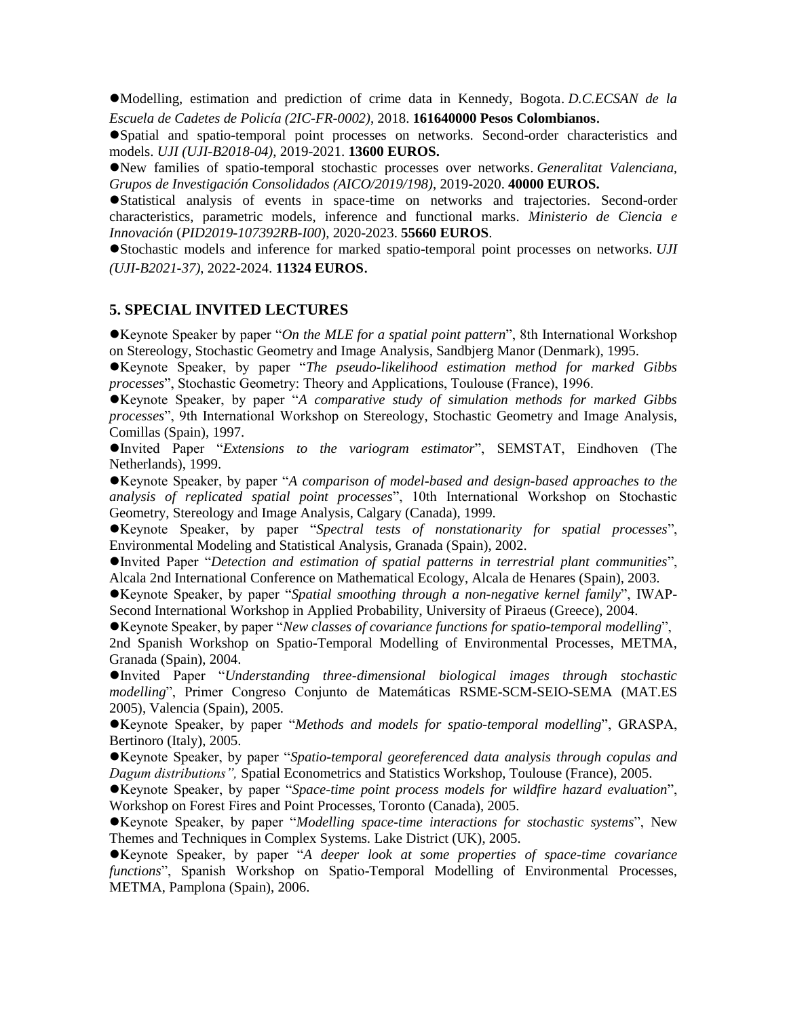Modelling, estimation and prediction of crime data in Kennedy, Bogota. *D.C.ECSAN de la Escuela de Cadetes de Policía (2IC-FR-0002)*, 2018. **161640000 Pesos Colombianos**.

Spatial and spatio-temporal point processes on networks. Second-order characteristics and models. *UJI (UJI-B2018-04)*, 2019-2021. **13600 EUROS.**

New families of spatio-temporal stochastic processes over networks. *Generalitat Valenciana, Grupos de Investigación Consolidados (AICO/2019/198)*, 2019-2020. **40000 EUROS.**

Statistical analysis of events in space-time on networks and trajectories. Second-order characteristics, parametric models, inference and functional marks. *Ministerio de Ciencia e Innovación* (*PID2019-107392RB-I00*), 2020-2023. **55660 EUROS**.

Stochastic models and inference for marked spatio-temporal point processes on networks*. UJI (UJI-B2021-37)*, 2022-2024. **11324 EUROS**.

#### **5. SPECIAL INVITED LECTURES**

Keynote Speaker by paper "*On the MLE for a spatial point pattern*", 8th International Workshop on Stereology, Stochastic Geometry and Image Analysis, Sandbjerg Manor (Denmark), 1995.

Keynote Speaker, by paper "*The pseudo-likelihood estimation method for marked Gibbs processes*", Stochastic Geometry: Theory and Applications, Toulouse (France), 1996.

Keynote Speaker, by paper "*A comparative study of simulation methods for marked Gibbs processes*", 9th International Workshop on Stereology, Stochastic Geometry and Image Analysis, Comillas (Spain), 1997.

Invited Paper "*Extensions to the variogram estimator*", SEMSTAT, Eindhoven (The Netherlands), 1999.

Keynote Speaker, by paper "*A comparison of model-based and design-based approaches to the analysis of replicated spatial point processes*", 10th International Workshop on Stochastic Geometry, Stereology and Image Analysis, Calgary (Canada), 1999.

Keynote Speaker, by paper "*Spectral tests of nonstationarity for spatial processes*", Environmental Modeling and Statistical Analysis, Granada (Spain), 2002.

Invited Paper "*Detection and estimation of spatial patterns in terrestrial plant communities*", Alcala 2nd International Conference on Mathematical Ecology, Alcala de Henares (Spain), 2003.

Keynote Speaker, by paper "*Spatial smoothing through a non-negative kernel family*", IWAP-Second International Workshop in Applied Probability, University of Piraeus (Greece), 2004.

Keynote Speaker, by paper "*New classes of covariance functions for spatio-temporal modelling*",

2nd Spanish Workshop on Spatio-Temporal Modelling of Environmental Processes, METMA, Granada (Spain), 2004.

Invited Paper "*Understanding three-dimensional biological images through stochastic modelling*", Primer Congreso Conjunto de Matemáticas RSME-SCM-SEIO-SEMA (MAT.ES 2005), Valencia (Spain), 2005.

Keynote Speaker, by paper "*Methods and models for spatio-temporal modelling*", GRASPA, Bertinoro (Italy), 2005.

Keynote Speaker, by paper "*Spatio-temporal georeferenced data analysis through copulas and Dagum distributions",* Spatial Econometrics and Statistics Workshop, Toulouse (France), 2005.

Keynote Speaker, by paper "*Space-time point process models for wildfire hazard evaluation*", Workshop on Forest Fires and Point Processes, Toronto (Canada), 2005.

Keynote Speaker, by paper "*Modelling space-time interactions for stochastic systems*", New Themes and Techniques in Complex Systems. Lake District (UK), 2005.

Keynote Speaker, by paper "*A deeper look at some properties of space-time covariance functions*", Spanish Workshop on Spatio-Temporal Modelling of Environmental Processes, METMA, Pamplona (Spain), 2006.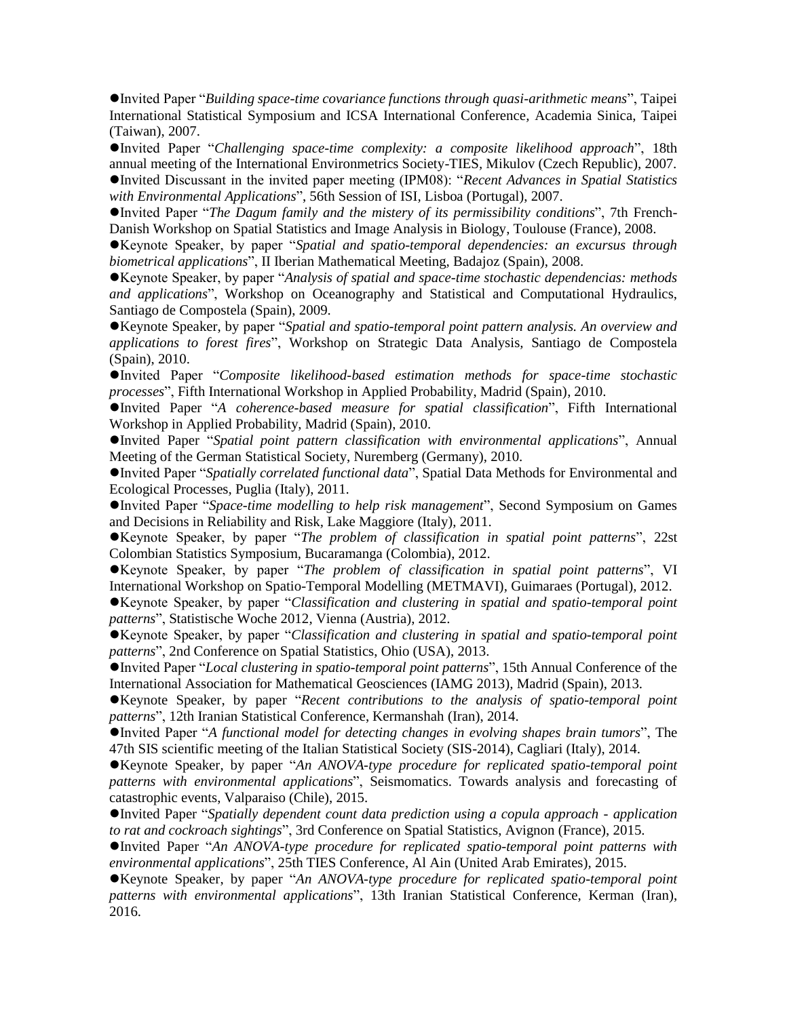Invited Paper "*Building space-time covariance functions through quasi-arithmetic means*", Taipei International Statistical Symposium and ICSA International Conference*,* Academia Sinica, Taipei (Taiwan), 2007.

Invited Paper "*Challenging space-time complexity: a composite likelihood approach*", 18th annual meeting of the International Environmetrics Society-TIES*,* Mikulov (Czech Republic), 2007. Invited Discussant in the invited paper meeting (IPM08): "*Recent Advances in Spatial Statistics with Environmental Applications*", 56th Session of ISI*,* Lisboa (Portugal), 2007.

Invited Paper "*The Dagum family and the mistery of its permissibility conditions*", 7th French-Danish Workshop on Spatial Statistics and Image Analysis in Biology, Toulouse (France), 2008.

Keynote Speaker, by paper "*Spatial and spatio-temporal dependencies: an excursus through biometrical applications*", II Iberian Mathematical Meeting*,* Badajoz (Spain), 2008.

Keynote Speaker, by paper "*Analysis of spatial and space-time stochastic dependencias: methods and applications*", Workshop on Oceanography and Statistical and Computational Hydraulics, Santiago de Compostela (Spain), 2009.

Keynote Speaker, by paper "*Spatial and spatio-temporal point pattern analysis. An overview and applications to forest fires*", Workshop on Strategic Data Analysis*,* Santiago de Compostela (Spain), 2010.

Invited Paper "*Composite likelihood-based estimation methods for space-time stochastic processes*", Fifth International Workshop in Applied Probability, Madrid (Spain), 2010.

Invited Paper "*A coherence-based measure for spatial classification*", Fifth International Workshop in Applied Probability, Madrid (Spain), 2010.

Invited Paper "*Spatial point pattern classification with environmental applications*", Annual Meeting of the German Statistical Society, Nuremberg (Germany), 2010.

Invited Paper "*Spatially correlated functional data*", Spatial Data Methods for Environmental and Ecological Processes*,* Puglia (Italy), 2011.

Invited Paper "*Space-time modelling to help risk management*", Second Symposium on Games and Decisions in Reliability and Risk*,* Lake Maggiore (Italy), 2011.

Keynote Speaker, by paper "*The problem of classification in spatial point patterns*", 22st Colombian Statistics Symposium*,* Bucaramanga (Colombia), 2012.

Keynote Speaker, by paper "*The problem of classification in spatial point patterns*", VI International Workshop on Spatio-Temporal Modelling (METMAVI)*,* Guimaraes (Portugal), 2012.

Keynote Speaker, by paper "*Classification and clustering in spatial and spatio-temporal point patterns*", Statistische Woche 2012*,* Vienna (Austria), 2012.

Keynote Speaker, by paper "*Classification and clustering in spatial and spatio-temporal point patterns*", 2nd Conference on Spatial Statistics, Ohio (USA), 2013.

Invited Paper "*Local clustering in spatio-temporal point patterns*", 15th Annual Conference of the International Association for Mathematical Geosciences (IAMG 2013)*,* Madrid (Spain), 2013.

Keynote Speaker, by paper "*Recent contributions to the analysis of spatio-temporal point patterns*", 12th Iranian Statistical Conference, Kermanshah (Iran), 2014.

Invited Paper "*A functional model for detecting changes in evolving shapes brain tumors*", The 47th SIS scientific meeting of the Italian Statistical Society (SIS-2014), Cagliari (Italy), 2014.

Keynote Speaker, by paper "*An ANOVA-type procedure for replicated spatio-temporal point patterns with environmental applications*", Seismomatics. Towards analysis and forecasting of catastrophic events, Valparaiso (Chile), 2015.

Invited Paper "*Spatially dependent count data prediction using a copula approach - application to rat and cockroach sightings*", 3rd Conference on Spatial Statistics, Avignon (France), 2015.

Invited Paper "*An ANOVA-type procedure for replicated spatio-temporal point patterns with environmental applications*", 25th TIES Conference, Al Ain (United Arab Emirates), 2015.

Keynote Speaker, by paper "*An ANOVA-type procedure for replicated spatio-temporal point patterns with environmental applications*", 13th Iranian Statistical Conference, Kerman (Iran), 2016.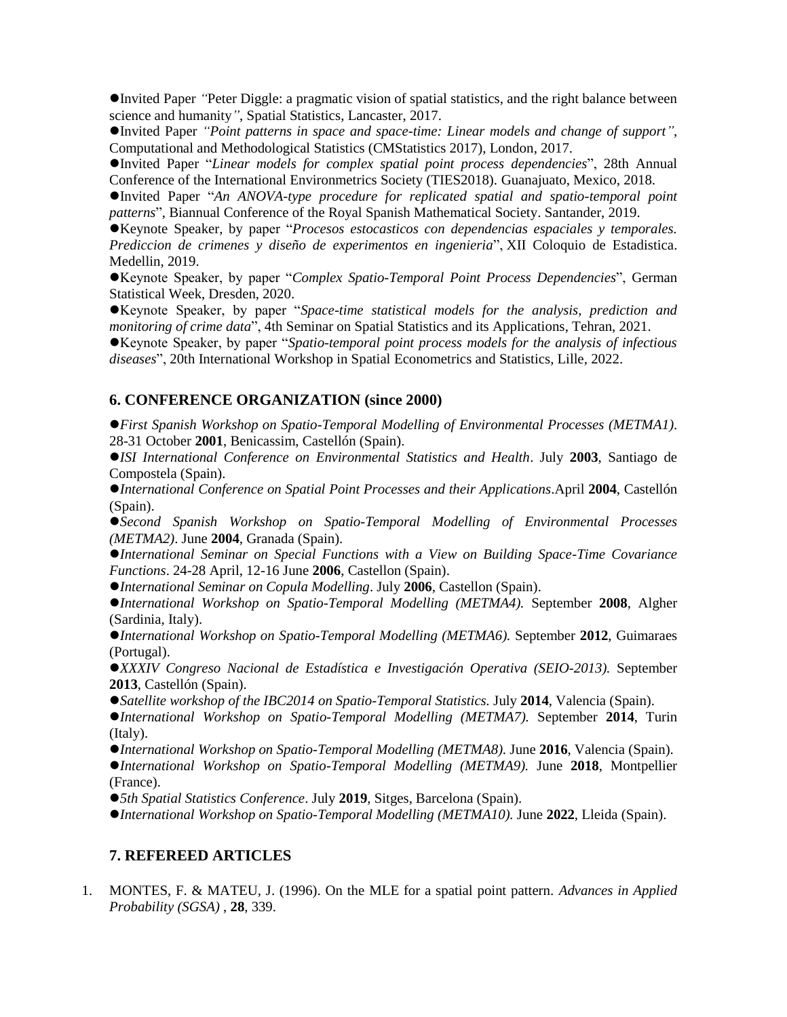Invited Paper *"*Peter Diggle: a pragmatic vision of spatial statistics, and the right balance between science and humanity*"*, Spatial Statistics, Lancaster, 2017.

Invited Paper *"Point patterns in space and space-time: Linear models and change of support"*, Computational and Methodological Statistics (CMStatistics 2017), London, 2017.

Invited Paper "*Linear models for complex spatial point process dependencies*", 28th Annual Conference of the International Environmetrics Society (TIES2018). Guanajuato, Mexico, 2018.

Invited Paper "*An ANOVA-type procedure for replicated spatial and spatio-temporal point patterns*", Biannual Conference of the Royal Spanish Mathematical Society. Santander, 2019.

Keynote Speaker, by paper "*Procesos estocasticos con dependencias espaciales y temporales. Prediccion de crimenes y diseño de experimentos en ingenieria*", XII Coloquio de Estadistica. Medellin, 2019.

Keynote Speaker, by paper "*Complex Spatio-Temporal Point Process Dependencies*", German Statistical Week, Dresden, 2020.

Keynote Speaker, by paper "*Space-time statistical models for the analysis, prediction and monitoring of crime data*", 4th Seminar on Spatial Statistics and its Applications, Tehran, 2021.

Keynote Speaker, by paper "*Spatio-temporal point process models for the analysis of infectious diseases*", 20th International Workshop in Spatial Econometrics and Statistics, Lille, 2022.

# **6. CONFERENCE ORGANIZATION (since 2000)**

*First Spanish Workshop on Spatio-Temporal Modelling of Environmental Processes (METMA1)*. 28-31 October **2001**, Benicassim, Castellón (Spain).

*ISI International Conference on Environmental Statistics and Health*. July **2003**, Santiago de Compostela (Spain).

*International Conference on Spatial Point Processes and their Applications*.April **2004**, Castellón (Spain).

*Second Spanish Workshop on Spatio-Temporal Modelling of Environmental Processes (METMA2)*. June **2004**, Granada (Spain).

*International Seminar on Special Functions with a View on Building Space-Time Covariance Functions*. 24-28 April, 12-16 June **2006**, Castellon (Spain).

*International Seminar on Copula Modelling*. July **2006**, Castellon (Spain).

*International Workshop on Spatio-Temporal Modelling (METMA4).* September **2008**, Algher (Sardinia, Italy).

*International Workshop on Spatio-Temporal Modelling (METMA6).* September **2012**, Guimaraes (Portugal).

*XXXIV Congreso Nacional de Estadística e Investigación Operativa (SEIO-2013).* September **2013**, Castellón (Spain).

*Satellite workshop of the IBC2014 on Spatio-Temporal Statistics.* July **2014**, Valencia (Spain).

*International Workshop on Spatio-Temporal Modelling (METMA7).* September **2014**, Turin (Italy).

*International Workshop on Spatio-Temporal Modelling (METMA8).* June **2016**, Valencia (Spain). *International Workshop on Spatio-Temporal Modelling (METMA9).* June **2018**, Montpellier (France).

*5th Spatial Statistics Conference*. July **2019**, Sitges, Barcelona (Spain).

*International Workshop on Spatio-Temporal Modelling (METMA10).* June **2022**, Lleida (Spain).

# **7. REFEREED ARTICLES**

1. MONTES, F. & MATEU, J. (1996). On the MLE for a spatial point pattern. *Advances in Applied Probability (SGSA)* , **28**, 339.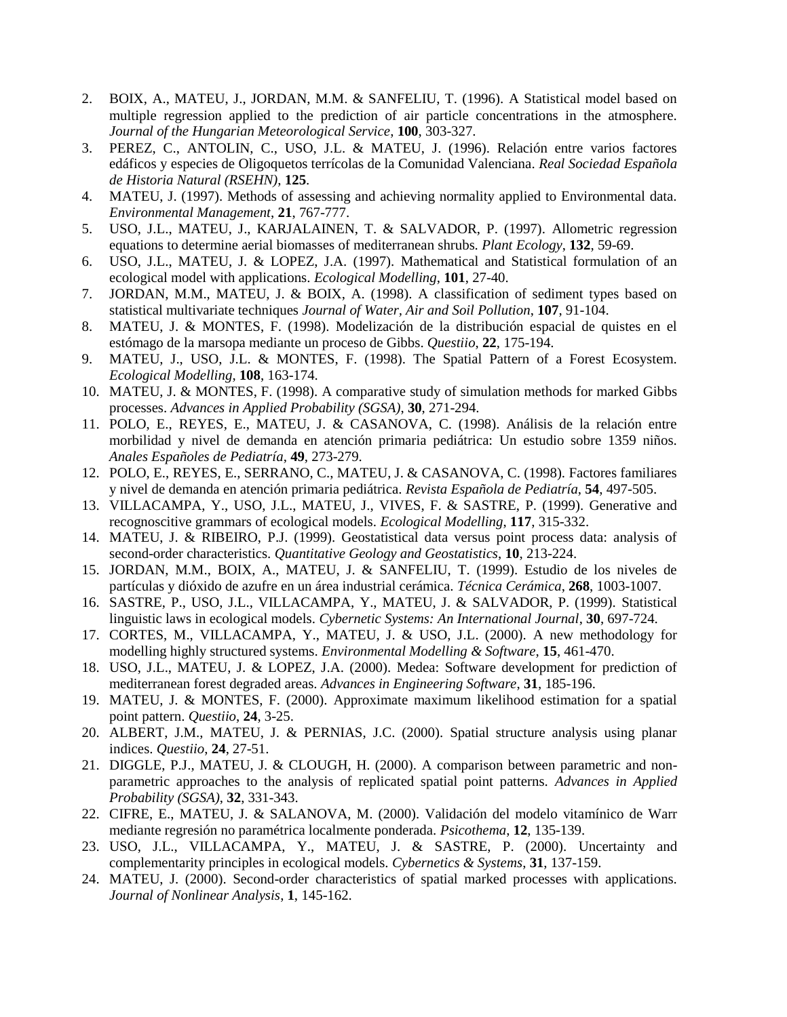- 2. BOIX, A., MATEU, J., JORDAN, M.M. & SANFELIU, T. (1996). A Statistical model based on multiple regression applied to the prediction of air particle concentrations in the atmosphere. *Journal of the Hungarian Meteorological Service*, **100**, 303-327.
- 3. PEREZ, C., ANTOLIN, C., USO, J.L. & MATEU, J. (1996). Relación entre varios factores edáficos y especies de Oligoquetos terrícolas de la Comunidad Valenciana. *Real Sociedad Española de Historia Natural (RSEHN)*, **125**.
- 4. MATEU, J. (1997). Methods of assessing and achieving normality applied to Environmental data. *Environmental Management*, **21**, 767-777.
- 5. USO, J.L., MATEU, J., KARJALAINEN, T. & SALVADOR, P. (1997). Allometric regression equations to determine aerial biomasses of mediterranean shrubs. *Plant Ecology*, **132**, 59-69.
- 6. USO, J.L., MATEU, J. & LOPEZ, J.A. (1997). Mathematical and Statistical formulation of an ecological model with applications. *Ecological Modelling*, **101**, 27-40.
- 7. JORDAN, M.M., MATEU, J. & BOIX, A. (1998). A classification of sediment types based on statistical multivariate techniques *Journal of Water, Air and Soil Pollution*, **107**, 91-104.
- 8. MATEU, J. & MONTES, F. (1998). Modelización de la distribución espacial de quistes en el estómago de la marsopa mediante un proceso de Gibbs. *Questiio*, **22**, 175-194.
- 9. MATEU, J., USO, J.L. & MONTES, F. (1998). The Spatial Pattern of a Forest Ecosystem. *Ecological Modelling*, **108**, 163-174.
- 10. MATEU, J. & MONTES, F. (1998). A comparative study of simulation methods for marked Gibbs processes. *Advances in Applied Probability (SGSA)*, **30**, 271-294.
- 11. POLO, E., REYES, E., MATEU, J. & CASANOVA, C. (1998). Análisis de la relación entre morbilidad y nivel de demanda en atención primaria pediátrica: Un estudio sobre 1359 niños. *Anales Españoles de Pediatría*, **49**, 273-279.
- 12. POLO, E., REYES, E., SERRANO, C., MATEU, J. & CASANOVA, C. (1998). Factores familiares y nivel de demanda en atención primaria pediátrica. *Revista Española de Pediatría*, **54**, 497-505.
- 13. VILLACAMPA, Y., USO, J.L., MATEU, J., VIVES, F. & SASTRE, P. (1999). Generative and recognoscitive grammars of ecological models. *Ecological Modelling*, **117**, 315-332.
- 14. MATEU, J. & RIBEIRO, P.J. (1999). Geostatistical data versus point process data: analysis of second-order characteristics. *Quantitative Geology and Geostatistics*, **10**, 213-224.
- 15. JORDAN, M.M., BOIX, A., MATEU, J. & SANFELIU, T. (1999). Estudio de los niveles de partículas y dióxido de azufre en un área industrial cerámica. *Técnica Cerámica*, **268**, 1003-1007.
- 16. SASTRE, P., USO, J.L., VILLACAMPA, Y., MATEU, J. & SALVADOR, P. (1999). Statistical linguistic laws in ecological models. *Cybernetic Systems: An International Journal*, **30**, 697-724.
- 17. CORTES, M., VILLACAMPA, Y., MATEU, J. & USO, J.L. (2000). A new methodology for modelling highly structured systems. *Environmental Modelling & Software*, **15**, 461-470.
- 18. USO, J.L., MATEU, J. & LOPEZ, J.A. (2000). Medea: Software development for prediction of mediterranean forest degraded areas. *Advances in Engineering Software*, **31**, 185-196.
- 19. MATEU, J. & MONTES, F. (2000). Approximate maximum likelihood estimation for a spatial point pattern. *Questiio*, **24**, 3-25.
- 20. ALBERT, J.M., MATEU, J. & PERNIAS, J.C. (2000). Spatial structure analysis using planar indices. *Questiio*, **24**, 27-51.
- 21. DIGGLE, P.J., MATEU, J. & CLOUGH, H. (2000). A comparison between parametric and nonparametric approaches to the analysis of replicated spatial point patterns. *Advances in Applied Probability (SGSA)*, **32**, 331-343.
- 22. CIFRE, E., MATEU, J. & SALANOVA, M. (2000). Validación del modelo vitamínico de Warr mediante regresión no paramétrica localmente ponderada. *Psicothema*, **12**, 135-139.
- 23. USO, J.L., VILLACAMPA, Y., MATEU, J. & SASTRE, P. (2000). Uncertainty and complementarity principles in ecological models. *Cybernetics & Systems*, **31**, 137-159.
- 24. MATEU, J. (2000). Second-order characteristics of spatial marked processes with applications. *Journal of Nonlinear Analysis*, **1**, 145-162.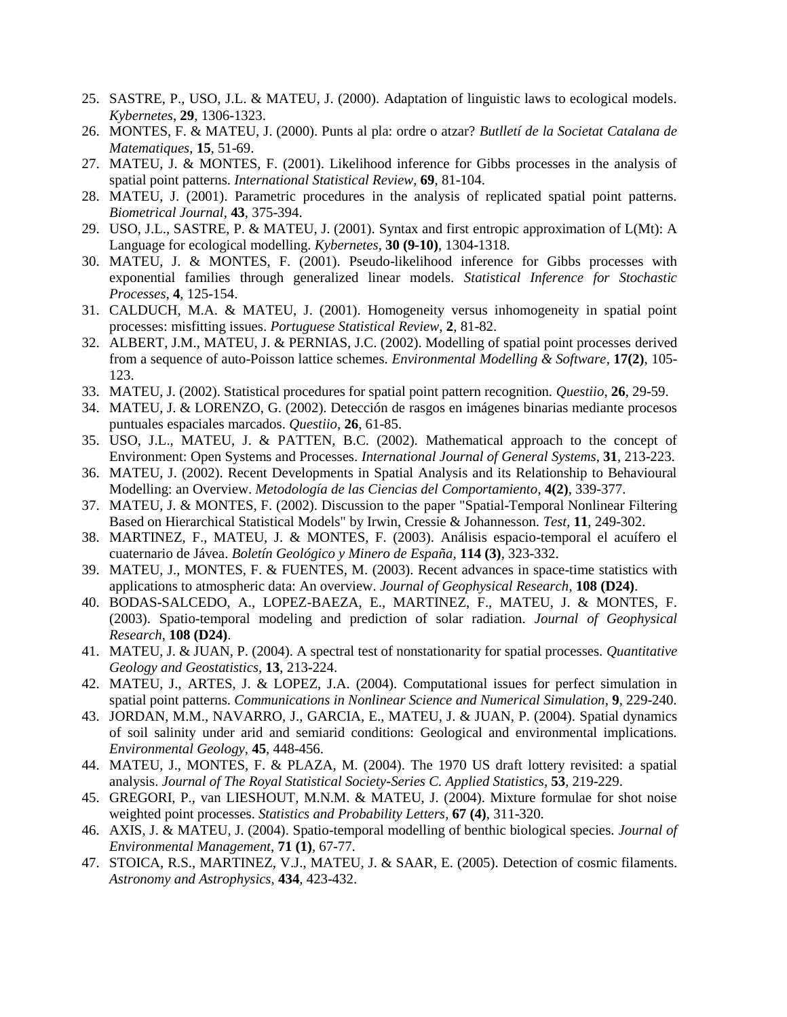- 25. SASTRE, P., USO, J.L. & MATEU, J. (2000). Adaptation of linguistic laws to ecological models. *Kybernetes*, **29**, 1306-1323.
- 26. MONTES, F. & MATEU, J. (2000). Punts al pla: ordre o atzar? *Butlletí de la Societat Catalana de Matematiques*, **15**, 51-69.
- 27. MATEU, J. & MONTES, F. (2001). Likelihood inference for Gibbs processes in the analysis of spatial point patterns. *International Statistical Review*, **69**, 81-104.
- 28. MATEU, J. (2001). Parametric procedures in the analysis of replicated spatial point patterns. *Biometrical Journal*, **43**, 375-394.
- 29. USO, J.L., SASTRE, P. & MATEU, J. (2001). Syntax and first entropic approximation of L(Mt): A Language for ecological modelling. *Kybernetes*, **30 (9-10)**, 1304-1318.
- 30. MATEU, J. & MONTES, F. (2001). Pseudo-likelihood inference for Gibbs processes with exponential families through generalized linear models. *Statistical Inference for Stochastic Processes*, **4**, 125-154.
- 31. CALDUCH, M.A. & MATEU, J. (2001). Homogeneity versus inhomogeneity in spatial point processes: misfitting issues. *Portuguese Statistical Review*, **2**, 81-82.
- 32. ALBERT, J.M., MATEU, J. & PERNIAS, J.C. (2002). Modelling of spatial point processes derived from a sequence of auto-Poisson lattice schemes. *Environmental Modelling & Software*, **17(2)**, 105- 123.
- 33. MATEU, J. (2002). Statistical procedures for spatial point pattern recognition. *Questiio*, **26**, 29-59.
- 34. MATEU, J. & LORENZO, G. (2002). Detección de rasgos en imágenes binarias mediante procesos puntuales espaciales marcados. *Questiio*, **26**, 61-85.
- 35. USO, J.L., MATEU, J. & PATTEN, B.C. (2002). Mathematical approach to the concept of Environment: Open Systems and Processes. *International Journal of General Systems*, **31**, 213-223.
- 36. MATEU, J. (2002). Recent Developments in Spatial Analysis and its Relationship to Behavioural Modelling: an Overview. *Metodología de las Ciencias del Comportamiento*, **4(2)**, 339-377.
- 37. MATEU, J. & MONTES, F. (2002). Discussion to the paper "Spatial-Temporal Nonlinear Filtering Based on Hierarchical Statistical Models" by Irwin, Cressie & Johannesson. *Test*, **11**, 249-302.
- 38. MARTINEZ, F., MATEU, J. & MONTES, F. (2003). Análisis espacio-temporal el acuífero el cuaternario de Jávea. *Boletín Geológico y Minero de España*, **114 (3)**, 323-332.
- 39. MATEU, J., MONTES, F. & FUENTES, M. (2003). Recent advances in space-time statistics with applications to atmospheric data: An overview. *Journal of Geophysical Research*, **108 (D24)**.
- 40. BODAS-SALCEDO, A., LOPEZ-BAEZA, E., MARTINEZ, F., MATEU, J. & MONTES, F. (2003). Spatio-temporal modeling and prediction of solar radiation. *Journal of Geophysical Research*, **108 (D24)**.
- 41. MATEU, J. & JUAN, P. (2004). A spectral test of nonstationarity for spatial processes. *Quantitative Geology and Geostatistics*, **13**, 213-224.
- 42. MATEU, J., ARTES, J. & LOPEZ, J.A. (2004). Computational issues for perfect simulation in spatial point patterns. *Communications in Nonlinear Science and Numerical Simulation*, **9**, 229-240.
- 43. JORDAN, M.M., NAVARRO, J., GARCIA, E., MATEU, J. & JUAN, P. (2004). Spatial dynamics of soil salinity under arid and semiarid conditions: Geological and environmental implications. *Environmental Geology*, **45**, 448-456.
- 44. MATEU, J., MONTES, F. & PLAZA, M. (2004). The 1970 US draft lottery revisited: a spatial analysis. *Journal of The Royal Statistical Society-Series C. Applied Statistics*, **53**, 219-229.
- 45. GREGORI, P., van LIESHOUT, M.N.M. & MATEU, J. (2004). Mixture formulae for shot noise weighted point processes. *Statistics and Probability Letters*, **67 (4)**, 311-320.
- 46. AXIS, J. & MATEU, J. (2004). Spatio-temporal modelling of benthic biological species. *Journal of Environmental Management*, **71 (1)**, 67-77.
- 47. STOICA, R.S., MARTINEZ, V.J., MATEU, J. & SAAR, E. (2005). Detection of cosmic filaments. *Astronomy and Astrophysics*, **434**, 423-432.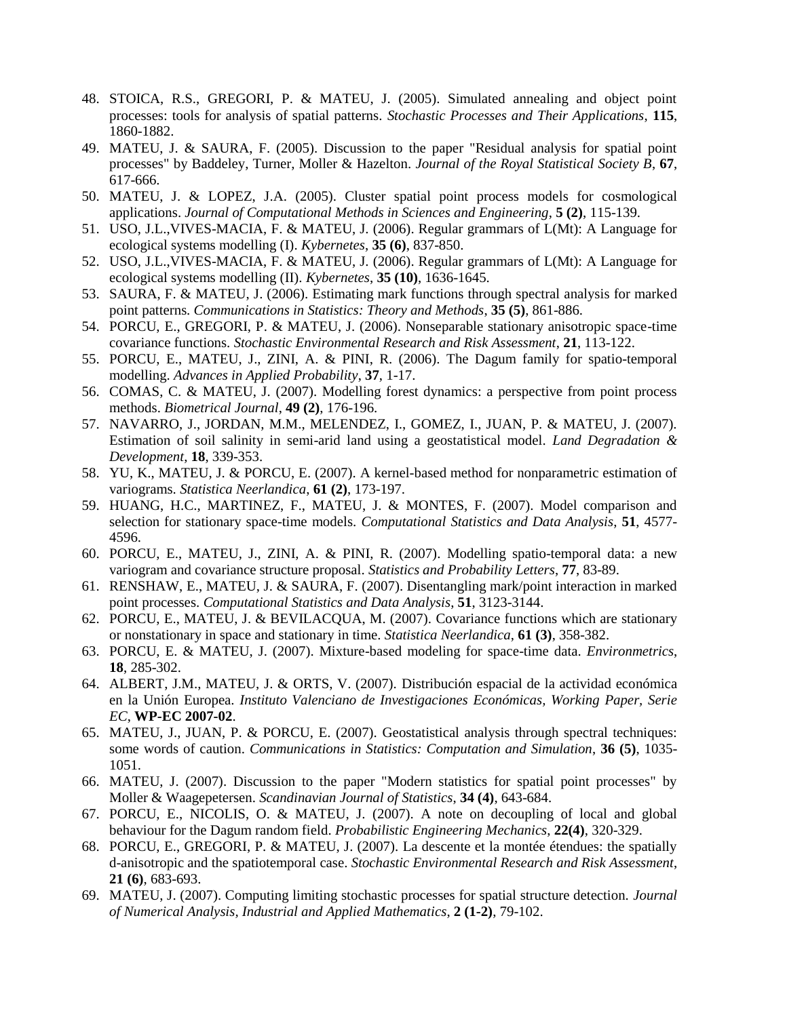- 48. STOICA, R.S., GREGORI, P. & MATEU, J. (2005). Simulated annealing and object point processes: tools for analysis of spatial patterns. *Stochastic Processes and Their Applications*, **115**, 1860-1882.
- 49. MATEU, J. & SAURA, F. (2005). Discussion to the paper "Residual analysis for spatial point processes" by Baddeley, Turner, Moller & Hazelton. *Journal of the Royal Statistical Society B*, **67**, 617-666.
- 50. MATEU, J. & LOPEZ, J.A. (2005). Cluster spatial point process models for cosmological applications. *Journal of Computational Methods in Sciences and Engineering*, **5 (2)**, 115-139.
- 51. USO, J.L.,VIVES-MACIA, F. & MATEU, J. (2006). Regular grammars of L(Mt): A Language for ecological systems modelling (I). *Kybernetes*, **35 (6)**, 837-850.
- 52. USO, J.L.,VIVES-MACIA, F. & MATEU, J. (2006). Regular grammars of L(Mt): A Language for ecological systems modelling (II). *Kybernetes*, **35 (10)**, 1636-1645.
- 53. SAURA, F. & MATEU, J. (2006). Estimating mark functions through spectral analysis for marked point patterns. *Communications in Statistics: Theory and Methods*, **35 (5)**, 861-886.
- 54. PORCU, E., GREGORI, P. & MATEU, J. (2006). Nonseparable stationary anisotropic space-time covariance functions. *Stochastic Environmental Research and Risk Assessment*, **21**, 113-122.
- 55. PORCU, E., MATEU, J., ZINI, A. & PINI, R. (2006). The Dagum family for spatio-temporal modelling. *Advances in Applied Probability*, **37**, 1-17.
- 56. COMAS, C. & MATEU, J. (2007). Modelling forest dynamics: a perspective from point process methods. *Biometrical Journal*, **49 (2)**, 176-196.
- 57. NAVARRO, J., JORDAN, M.M., MELENDEZ, I., GOMEZ, I., JUAN, P. & MATEU, J. (2007). Estimation of soil salinity in semi-arid land using a geostatistical model. *Land Degradation & Development*, **18**, 339-353.
- 58. YU, K., MATEU, J. & PORCU, E. (2007). A kernel-based method for nonparametric estimation of variograms. *Statistica Neerlandica*, **61 (2)**, 173-197.
- 59. HUANG, H.C., MARTINEZ, F., MATEU, J. & MONTES, F. (2007). Model comparison and selection for stationary space-time models. *Computational Statistics and Data Analysis*, **51**, 4577- 4596.
- 60. PORCU, E., MATEU, J., ZINI, A. & PINI, R. (2007). Modelling spatio-temporal data: a new variogram and covariance structure proposal. *Statistics and Probability Letters*, **77**, 83-89.
- 61. RENSHAW, E., MATEU, J. & SAURA, F. (2007). Disentangling mark/point interaction in marked point processes. *Computational Statistics and Data Analysis*, **51**, 3123-3144.
- 62. PORCU, E., MATEU, J. & BEVILACQUA, M. (2007). Covariance functions which are stationary or nonstationary in space and stationary in time. *Statistica Neerlandica*, **61 (3)**, 358-382.
- 63. PORCU, E. & MATEU, J. (2007). Mixture-based modeling for space-time data. *Environmetrics*, **18**, 285-302.
- 64. ALBERT, J.M., MATEU, J. & ORTS, V. (2007). Distribución espacial de la actividad económica en la Unión Europea. *Instituto Valenciano de Investigaciones Económicas, Working Paper, Serie EC*, **WP-EC 2007-02**.
- 65. MATEU, J., JUAN, P. & PORCU, E. (2007). Geostatistical analysis through spectral techniques: some words of caution. *Communications in Statistics: Computation and Simulation*, **36 (5)**, 1035- 1051.
- 66. MATEU, J. (2007). Discussion to the paper "Modern statistics for spatial point processes" by Moller & Waagepetersen. *Scandinavian Journal of Statistics*, **34 (4)**, 643-684.
- 67. PORCU, E., NICOLIS, O. & MATEU, J. (2007). A note on decoupling of local and global behaviour for the Dagum random field. *Probabilistic Engineering Mechanics*, **22(4)**, 320-329.
- 68. PORCU, E., GREGORI, P. & MATEU, J. (2007). La descente et la montée étendues: the spatially d-anisotropic and the spatiotemporal case. *Stochastic Environmental Research and Risk Assessment*, **21 (6)**, 683-693.
- 69. MATEU, J. (2007). Computing limiting stochastic processes for spatial structure detection. *Journal of Numerical Analysis, Industrial and Applied Mathematics*, **2 (1-2)**, 79-102.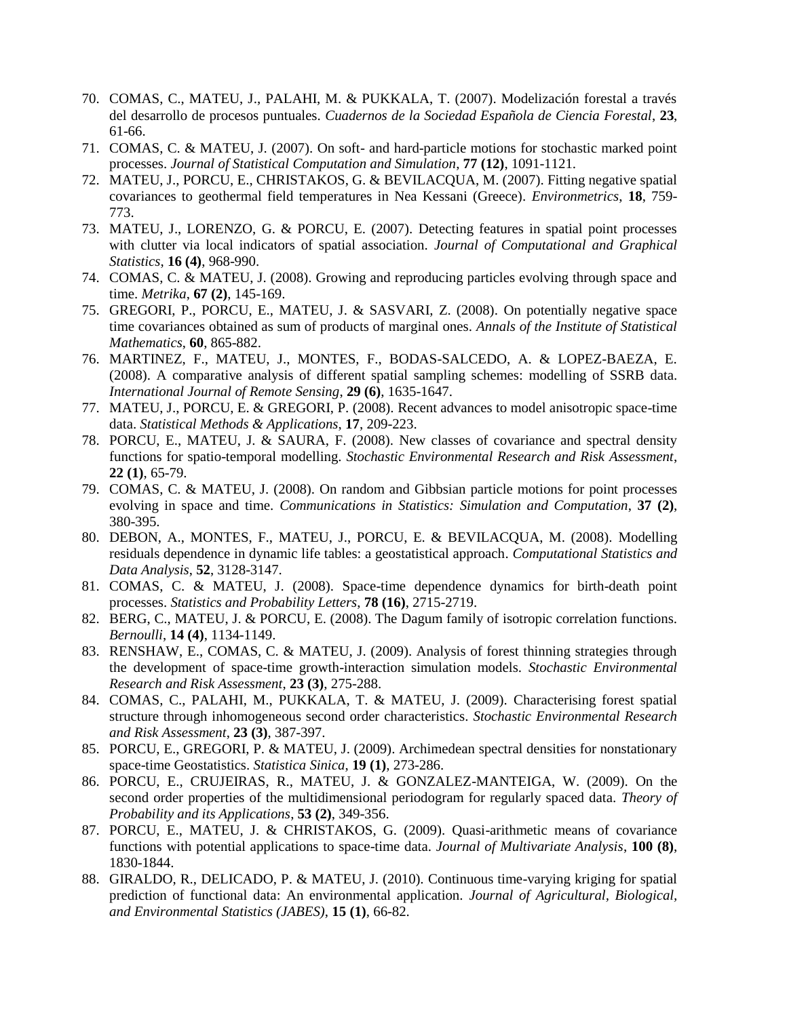- 70. COMAS, C., MATEU, J., PALAHI, M. & PUKKALA, T. (2007). Modelización forestal a través del desarrollo de procesos puntuales. *Cuadernos de la Sociedad Española de Ciencia Forestal*, **23**, 61-66.
- 71. COMAS, C. & MATEU, J. (2007). On soft- and hard-particle motions for stochastic marked point processes. *Journal of Statistical Computation and Simulation*, **77 (12)**, 1091-1121.
- 72. MATEU, J., PORCU, E., CHRISTAKOS, G. & BEVILACQUA, M. (2007). Fitting negative spatial covariances to geothermal field temperatures in Nea Kessani (Greece). *Environmetrics*, **18**, 759- 773.
- 73. MATEU, J., LORENZO, G. & PORCU, E. (2007). Detecting features in spatial point processes with clutter via local indicators of spatial association. *Journal of Computational and Graphical Statistics*, **16 (4)**, 968-990.
- 74. COMAS, C. & MATEU, J. (2008). Growing and reproducing particles evolving through space and time. *Metrika*, **67 (2)**, 145-169.
- 75. GREGORI, P., PORCU, E., MATEU, J. & SASVARI, Z. (2008). On potentially negative space time covariances obtained as sum of products of marginal ones. *Annals of the Institute of Statistical Mathematics*, **60**, 865-882.
- 76. MARTINEZ, F., MATEU, J., MONTES, F., BODAS-SALCEDO, A. & LOPEZ-BAEZA, E. (2008). A comparative analysis of different spatial sampling schemes: modelling of SSRB data. *International Journal of Remote Sensing*, **29 (6)**, 1635-1647.
- 77. MATEU, J., PORCU, E. & GREGORI, P. (2008). Recent advances to model anisotropic space-time data. *Statistical Methods & Applications*, **17**, 209-223.
- 78. PORCU, E., MATEU, J. & SAURA, F. (2008). New classes of covariance and spectral density functions for spatio-temporal modelling. *Stochastic Environmental Research and Risk Assessment*, **22 (1)**, 65-79.
- 79. COMAS, C. & MATEU, J. (2008). On random and Gibbsian particle motions for point processes evolving in space and time. *Communications in Statistics: Simulation and Computation*, **37 (2)**, 380-395.
- 80. DEBON, A., MONTES, F., MATEU, J., PORCU, E. & BEVILACQUA, M. (2008). Modelling residuals dependence in dynamic life tables: a geostatistical approach. *Computational Statistics and Data Analysis*, **52**, 3128-3147.
- 81. COMAS, C. & MATEU, J. (2008). Space-time dependence dynamics for birth-death point processes. *Statistics and Probability Letters*, **78 (16)**, 2715-2719.
- 82. BERG, C., MATEU, J. & PORCU, E. (2008). The Dagum family of isotropic correlation functions. *Bernoulli*, **14 (4)**, 1134-1149.
- 83. RENSHAW, E., COMAS, C. & MATEU, J. (2009). Analysis of forest thinning strategies through the development of space-time growth-interaction simulation models. *Stochastic Environmental Research and Risk Assessment*, **23 (3)**, 275-288.
- 84. COMAS, C., PALAHI, M., PUKKALA, T. & MATEU, J. (2009). Characterising forest spatial structure through inhomogeneous second order characteristics. *Stochastic Environmental Research and Risk Assessment*, **23 (3)**, 387-397.
- 85. PORCU, E., GREGORI, P. & MATEU, J. (2009). Archimedean spectral densities for nonstationary space-time Geostatistics. *Statistica Sinica*, **19 (1)**, 273-286.
- 86. PORCU, E., CRUJEIRAS, R., MATEU, J. & GONZALEZ-MANTEIGA, W. (2009). On the second order properties of the multidimensional periodogram for regularly spaced data. *Theory of Probability and its Applications*, **53 (2)**, 349-356.
- 87. PORCU, E., MATEU, J. & CHRISTAKOS, G. (2009). Quasi-arithmetic means of covariance functions with potential applications to space-time data. *Journal of Multivariate Analysis*, **100 (8)**, 1830-1844.
- 88. GIRALDO, R., DELICADO, P. & MATEU, J. (2010). Continuous time-varying kriging for spatial prediction of functional data: An environmental application. *Journal of Agricultural, Biological, and Environmental Statistics (JABES)*, **15 (1)**, 66-82.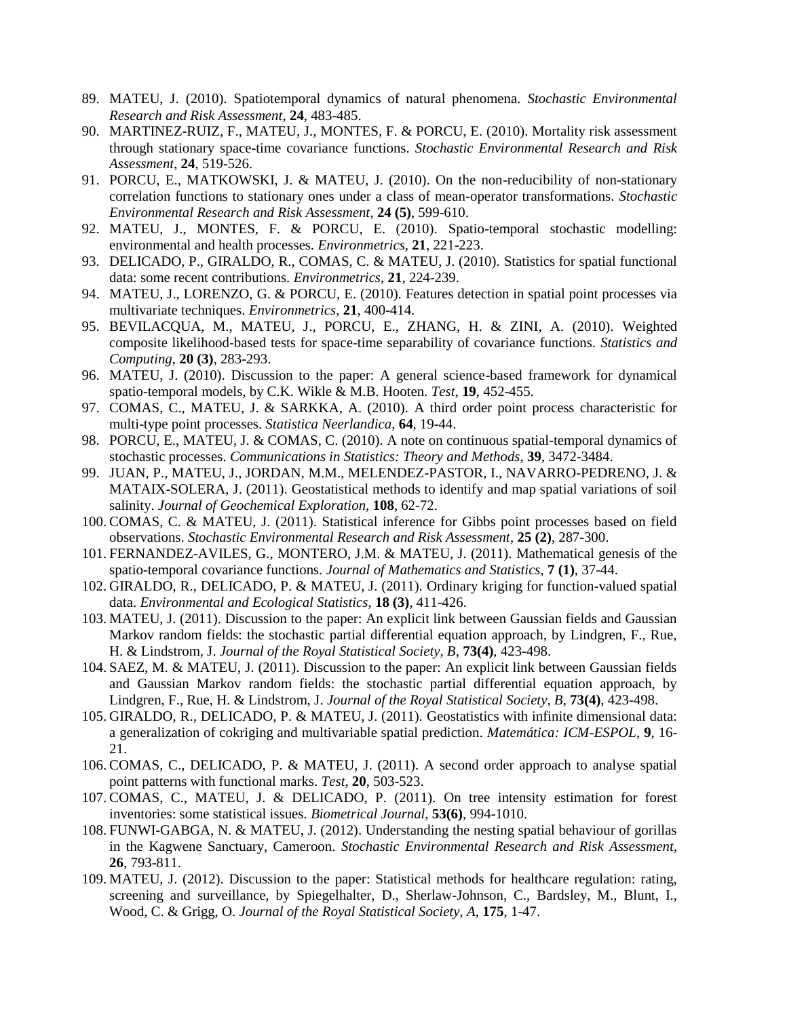- 89. MATEU, J. (2010). Spatiotemporal dynamics of natural phenomena. *Stochastic Environmental Research and Risk Assessment*, **24**, 483-485.
- 90. MARTINEZ-RUIZ, F., MATEU, J., MONTES, F. & PORCU, E. (2010). Mortality risk assessment through stationary space-time covariance functions. *Stochastic Environmental Research and Risk Assessment*, **24**, 519-526.
- 91. PORCU, E., MATKOWSKI, J. & MATEU, J. (2010). On the non-reducibility of non-stationary correlation functions to stationary ones under a class of mean-operator transformations. *Stochastic Environmental Research and Risk Assessment*, **24 (5)**, 599-610.
- 92. MATEU, J., MONTES, F. & PORCU, E. (2010). Spatio-temporal stochastic modelling: environmental and health processes. *Environmetrics*, **21**, 221-223.
- 93. DELICADO, P., GIRALDO, R., COMAS, C. & MATEU, J. (2010). Statistics for spatial functional data: some recent contributions. *Environmetrics*, **21**, 224-239.
- 94. MATEU, J., LORENZO, G. & PORCU, E. (2010). Features detection in spatial point processes via multivariate techniques. *Environmetrics*, **21**, 400-414.
- 95. BEVILACQUA, M., MATEU, J., PORCU, E., ZHANG, H. & ZINI, A. (2010). Weighted composite likelihood-based tests for space-time separability of covariance functions. *Statistics and Computing*, **20 (3)**, 283-293.
- 96. MATEU, J. (2010). Discussion to the paper: A general science-based framework for dynamical spatio-temporal models, by C.K. Wikle & M.B. Hooten. *Test*, **19**, 452-455.
- 97. COMAS, C., MATEU, J. & SARKKA, A. (2010). A third order point process characteristic for multi-type point processes. *Statistica Neerlandica*, **64**, 19-44.
- 98. PORCU, E., MATEU, J. & COMAS, C. (2010). A note on continuous spatial-temporal dynamics of stochastic processes. *Communications in Statistics: Theory and Methods*, **39**, 3472-3484.
- 99. JUAN, P., MATEU, J., JORDAN, M.M., MELENDEZ-PASTOR, I., NAVARRO-PEDRENO, J. & MATAIX-SOLERA, J. (2011). Geostatistical methods to identify and map spatial variations of soil salinity. *Journal of Geochemical Exploration*, **108**, 62-72.
- 100. COMAS, C. & MATEU, J. (2011). Statistical inference for Gibbs point processes based on field observations. *Stochastic Environmental Research and Risk Assessment*, **25 (2)**, 287-300.
- 101. FERNANDEZ-AVILES, G., MONTERO, J.M. & MATEU, J. (2011). Mathematical genesis of the spatio-temporal covariance functions. *Journal of Mathematics and Statistics*, **7 (1)**, 37-44.
- 102. GIRALDO, R., DELICADO, P. & MATEU, J. (2011). Ordinary kriging for function-valued spatial data. *Environmental and Ecological Statistics*, **18 (3)**, 411-426.
- 103. MATEU, J. (2011). Discussion to the paper: An explicit link between Gaussian fields and Gaussian Markov random fields: the stochastic partial differential equation approach, by Lindgren, F., Rue, H. & Lindstrom, J. *Journal of the Royal Statistical Society, B*, **73(4)**, 423-498.
- 104. SAEZ, M. & MATEU, J. (2011). Discussion to the paper: An explicit link between Gaussian fields and Gaussian Markov random fields: the stochastic partial differential equation approach, by Lindgren, F., Rue, H. & Lindstrom, J. *Journal of the Royal Statistical Society, B*, **73(4)**, 423-498.
- 105. GIRALDO, R., DELICADO, P. & MATEU, J. (2011). Geostatistics with infinite dimensional data: a generalization of cokriging and multivariable spatial prediction. *Matemática: ICM-ESPOL*, **9**, 16- 21.
- 106. COMAS, C., DELICADO, P. & MATEU, J. (2011). A second order approach to analyse spatial point patterns with functional marks. *Test*, **20**, 503-523.
- 107. COMAS, C., MATEU, J. & DELICADO, P. (2011). On tree intensity estimation for forest inventories: some statistical issues. *Biometrical Journal*, **53(6)**, 994-1010.
- 108. FUNWI-GABGA, N. & MATEU, J. (2012). Understanding the nesting spatial behaviour of gorillas in the Kagwene Sanctuary, Cameroon. *Stochastic Environmental Research and Risk Assessment*, **26**, 793-811.
- 109. MATEU, J. (2012). Discussion to the paper: Statistical methods for healthcare regulation: rating, screening and surveillance, by Spiegelhalter, D., Sherlaw-Johnson, C., Bardsley, M., Blunt, I., Wood, C. & Grigg, O. *Journal of the Royal Statistical Society, A*, **175**, 1-47.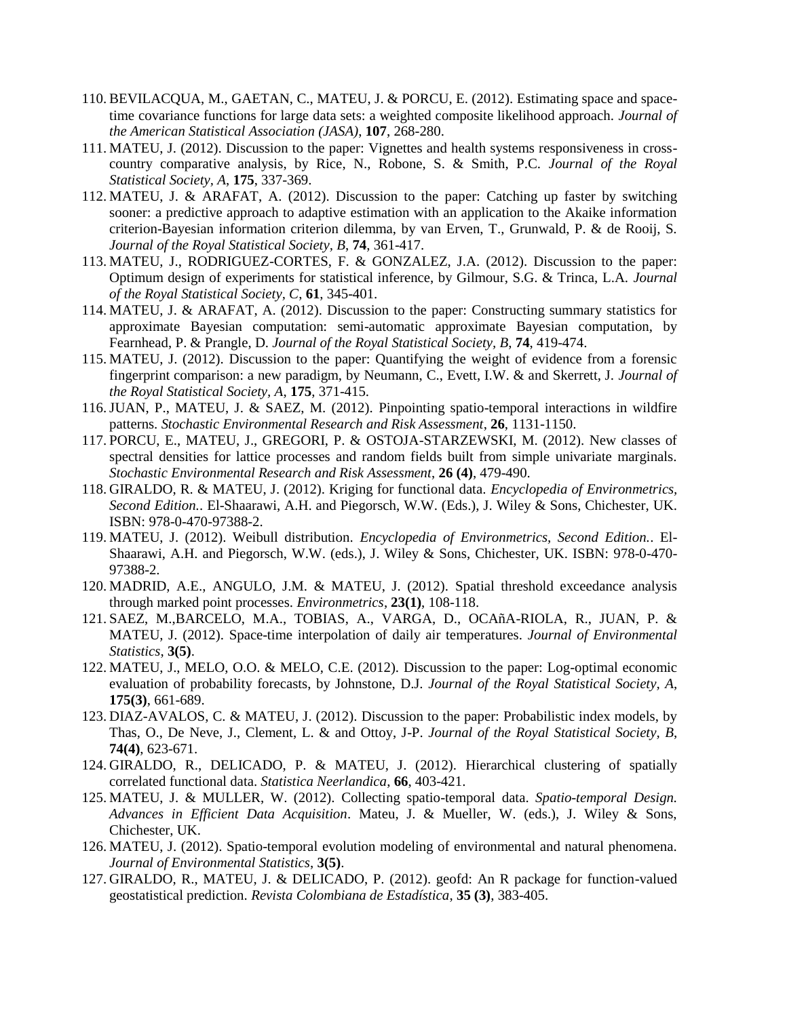- 110. BEVILACQUA, M., GAETAN, C., MATEU, J. & PORCU, E. (2012). Estimating space and spacetime covariance functions for large data sets: a weighted composite likelihood approach. *Journal of the American Statistical Association (JASA)*, **107**, 268-280.
- 111. MATEU, J. (2012). Discussion to the paper: Vignettes and health systems responsiveness in crosscountry comparative analysis, by Rice, N., Robone, S. & Smith, P.C. *Journal of the Royal Statistical Society, A*, **175**, 337-369.
- 112. MATEU, J. & ARAFAT, A. (2012). Discussion to the paper: Catching up faster by switching sooner: a predictive approach to adaptive estimation with an application to the Akaike information criterion-Bayesian information criterion dilemma, by van Erven, T., Grunwald, P. & de Rooij, S. *Journal of the Royal Statistical Society, B*, **74**, 361-417.
- 113. MATEU, J., RODRIGUEZ-CORTES, F. & GONZALEZ, J.A. (2012). Discussion to the paper: Optimum design of experiments for statistical inference, by Gilmour, S.G. & Trinca, L.A. *Journal of the Royal Statistical Society, C*, **61**, 345-401.
- 114. MATEU, J. & ARAFAT, A. (2012). Discussion to the paper: Constructing summary statistics for approximate Bayesian computation: semi-automatic approximate Bayesian computation, by Fearnhead, P. & Prangle, D. *Journal of the Royal Statistical Society, B*, **74**, 419-474.
- 115. MATEU, J. (2012). Discussion to the paper: Quantifying the weight of evidence from a forensic fingerprint comparison: a new paradigm, by Neumann, C., Evett, I.W. & and Skerrett, J. *Journal of the Royal Statistical Society, A*, **175**, 371-415.
- 116.JUAN, P., MATEU, J. & SAEZ, M. (2012). Pinpointing spatio-temporal interactions in wildfire patterns. *Stochastic Environmental Research and Risk Assessment*, **26**, 1131-1150.
- 117. PORCU, E., MATEU, J., GREGORI, P. & OSTOJA-STARZEWSKI, M. (2012). New classes of spectral densities for lattice processes and random fields built from simple univariate marginals. *Stochastic Environmental Research and Risk Assessment*, **26 (4)**, 479-490.
- 118. GIRALDO, R. & MATEU, J. (2012). Kriging for functional data. *Encyclopedia of Environmetrics, Second Edition.*. El-Shaarawi, A.H. and Piegorsch, W.W. (Eds.), J. Wiley & Sons, Chichester, UK. ISBN: 978-0-470-97388-2.
- 119. MATEU, J. (2012). Weibull distribution. *Encyclopedia of Environmetrics, Second Edition.*. El-Shaarawi, A.H. and Piegorsch, W.W. (eds.), J. Wiley & Sons, Chichester, UK. ISBN: 978-0-470- 97388-2.
- 120. MADRID, A.E., ANGULO, J.M. & MATEU, J. (2012). Spatial threshold exceedance analysis through marked point processes. *Environmetrics*, **23(1)**, 108-118.
- 121. SAEZ, M.,BARCELO, M.A., TOBIAS, A., VARGA, D., OCAñA-RIOLA, R., JUAN, P. & MATEU, J. (2012). Space-time interpolation of daily air temperatures. *Journal of Environmental Statistics*, **3(5)**.
- 122. MATEU, J., MELO, O.O. & MELO, C.E. (2012). Discussion to the paper: Log-optimal economic evaluation of probability forecasts, by Johnstone, D.J. *Journal of the Royal Statistical Society, A*, **175(3)**, 661-689.
- 123. DIAZ-AVALOS, C. & MATEU, J. (2012). Discussion to the paper: Probabilistic index models, by Thas, O., De Neve, J., Clement, L. & and Ottoy, J-P. *Journal of the Royal Statistical Society, B*, **74(4)**, 623-671.
- 124. GIRALDO, R., DELICADO, P. & MATEU, J. (2012). Hierarchical clustering of spatially correlated functional data. *Statistica Neerlandica*, **66**, 403-421.
- 125. MATEU, J. & MULLER, W. (2012). Collecting spatio-temporal data. *Spatio-temporal Design. Advances in Efficient Data Acquisition*. Mateu, J. & Mueller, W. (eds.), J. Wiley & Sons, Chichester, UK.
- 126. MATEU, J. (2012). Spatio-temporal evolution modeling of environmental and natural phenomena. *Journal of Environmental Statistics*, **3(5)**.
- 127. GIRALDO, R., MATEU, J. & DELICADO, P. (2012). geofd: An R package for function-valued geostatistical prediction. *Revista Colombiana de Estadística*, **35 (3)**, 383-405.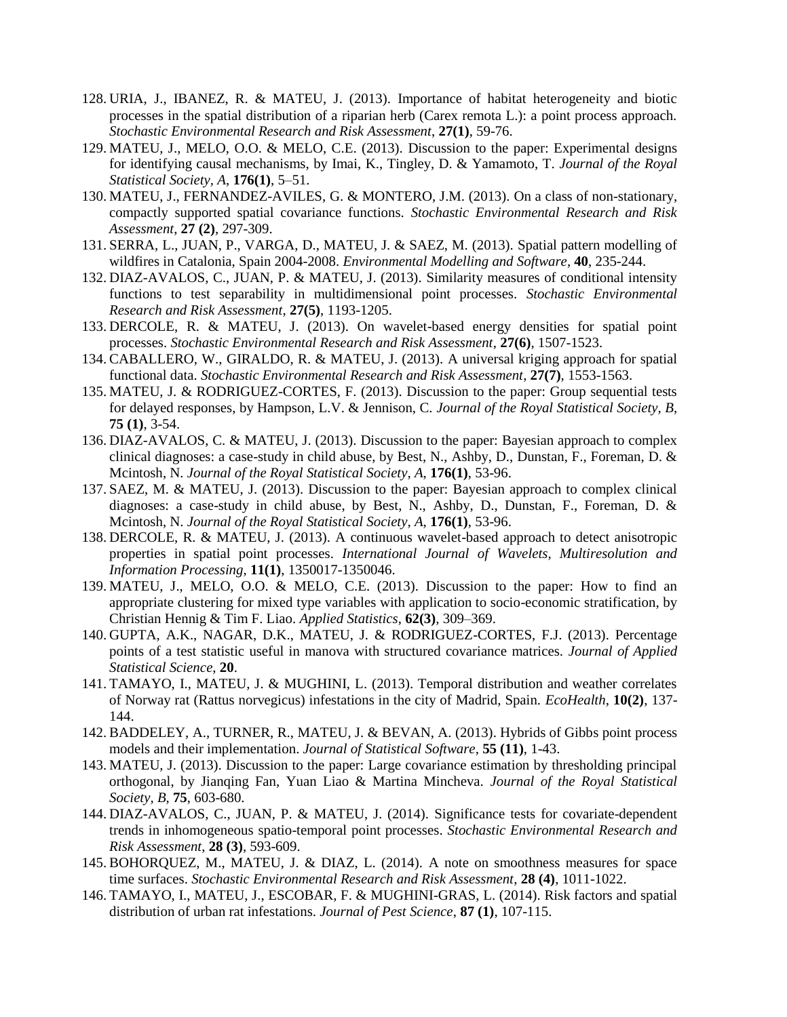- 128. URIA, J., IBANEZ, R. & MATEU, J. (2013). Importance of habitat heterogeneity and biotic processes in the spatial distribution of a riparian herb (Carex remota L.): a point process approach. *Stochastic Environmental Research and Risk Assessment*, **27(1)**, 59-76.
- 129. MATEU, J., MELO, O.O. & MELO, C.E. (2013). Discussion to the paper: Experimental designs for identifying causal mechanisms, by Imai, K., Tingley, D. & Yamamoto, T. *Journal of the Royal Statistical Society, A*, **176(1)**, 5–51.
- 130. MATEU, J., FERNANDEZ-AVILES, G. & MONTERO, J.M. (2013). On a class of non-stationary, compactly supported spatial covariance functions. *Stochastic Environmental Research and Risk Assessment*, **27 (2)**, 297-309.
- 131. SERRA, L., JUAN, P., VARGA, D., MATEU, J. & SAEZ, M. (2013). Spatial pattern modelling of wildfires in Catalonia, Spain 2004-2008. *Environmental Modelling and Software*, **40**, 235-244.
- 132. DIAZ-AVALOS, C., JUAN, P. & MATEU, J. (2013). Similarity measures of conditional intensity functions to test separability in multidimensional point processes. *Stochastic Environmental Research and Risk Assessment*, **27(5)**, 1193-1205.
- 133. DERCOLE, R. & MATEU, J. (2013). On wavelet-based energy densities for spatial point processes. *Stochastic Environmental Research and Risk Assessment*, **27(6)**, 1507-1523.
- 134. CABALLERO, W., GIRALDO, R. & MATEU, J. (2013). A universal kriging approach for spatial functional data. *Stochastic Environmental Research and Risk Assessment*, **27(7)**, 1553-1563.
- 135. MATEU, J. & RODRIGUEZ-CORTES, F. (2013). Discussion to the paper: Group sequential tests for delayed responses, by Hampson, L.V. & Jennison, C. *Journal of the Royal Statistical Society, B*, **75 (1)**, 3-54.
- 136. DIAZ-AVALOS, C. & MATEU, J. (2013). Discussion to the paper: Bayesian approach to complex clinical diagnoses: a case-study in child abuse, by Best, N., Ashby, D., Dunstan, F., Foreman, D. & Mcintosh, N. *Journal of the Royal Statistical Society, A*, **176(1)**, 53-96.
- 137. SAEZ, M. & MATEU, J. (2013). Discussion to the paper: Bayesian approach to complex clinical diagnoses: a case-study in child abuse, by Best, N., Ashby, D., Dunstan, F., Foreman, D. & Mcintosh, N. *Journal of the Royal Statistical Society, A*, **176(1)**, 53-96.
- 138. DERCOLE, R. & MATEU, J. (2013). A continuous wavelet-based approach to detect anisotropic properties in spatial point processes. *International Journal of Wavelets, Multiresolution and Information Processing*, **11(1)**, 1350017-1350046.
- 139. MATEU, J., MELO, O.O. & MELO, C.E. (2013). Discussion to the paper: How to find an appropriate clustering for mixed type variables with application to socio-economic stratification, by Christian Hennig & Tim F. Liao. *Applied Statistics*, **62(3)**, 309–369.
- 140. GUPTA, A.K., NAGAR, D.K., MATEU, J. & RODRIGUEZ-CORTES, F.J. (2013). Percentage points of a test statistic useful in manova with structured covariance matrices. *Journal of Applied Statistical Science*, **20**.
- 141. TAMAYO, I., MATEU, J. & MUGHINI, L. (2013). Temporal distribution and weather correlates of Norway rat (Rattus norvegicus) infestations in the city of Madrid, Spain. *EcoHealth*, **10(2)**, 137- 144.
- 142. BADDELEY, A., TURNER, R., MATEU, J. & BEVAN, A. (2013). Hybrids of Gibbs point process models and their implementation. *Journal of Statistical Software*, **55 (11)**, 1-43.
- 143. MATEU, J. (2013). Discussion to the paper: Large covariance estimation by thresholding principal orthogonal, by Jianqing Fan, Yuan Liao & Martina Mincheva. *Journal of the Royal Statistical Society, B*, **75**, 603-680.
- 144. DIAZ-AVALOS, C., JUAN, P. & MATEU, J. (2014). Significance tests for covariate-dependent trends in inhomogeneous spatio-temporal point processes. *Stochastic Environmental Research and Risk Assessment*, **28 (3)**, 593-609.
- 145. BOHORQUEZ, M., MATEU, J. & DIAZ, L. (2014). A note on smoothness measures for space time surfaces. *Stochastic Environmental Research and Risk Assessment*, **28 (4)**, 1011-1022.
- 146. TAMAYO, I., MATEU, J., ESCOBAR, F. & MUGHINI-GRAS, L. (2014). Risk factors and spatial distribution of urban rat infestations. *Journal of Pest Science*, **87 (1)**, 107-115.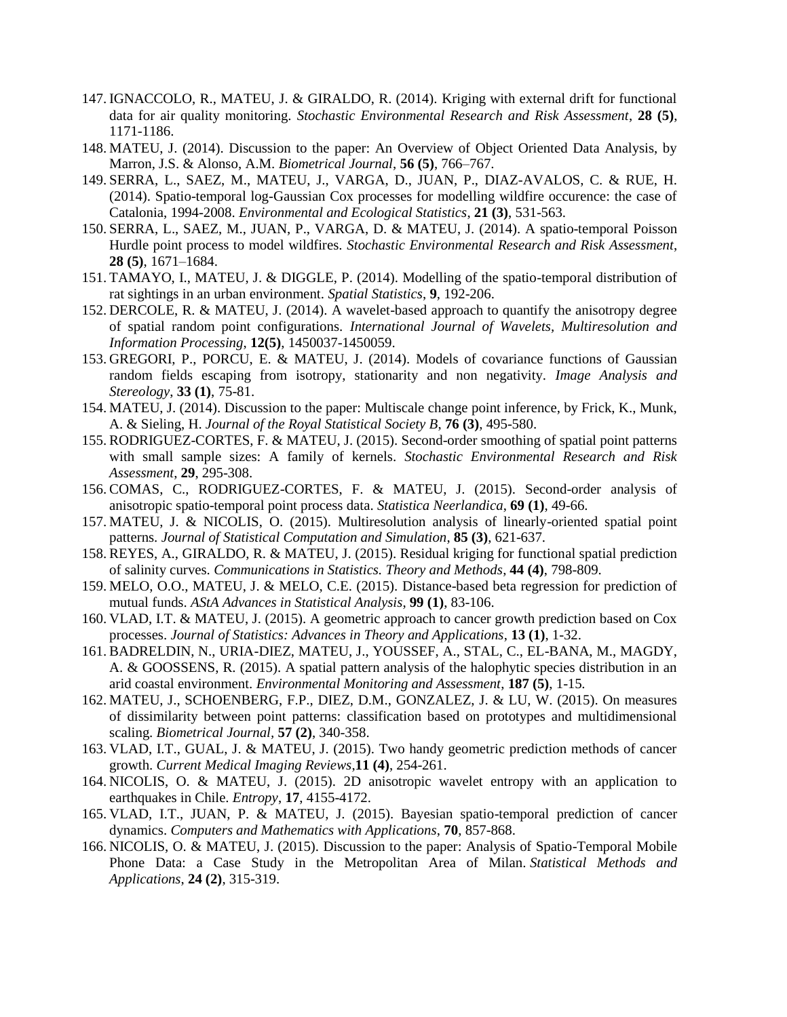- 147. IGNACCOLO, R., MATEU, J. & GIRALDO, R. (2014). Kriging with external drift for functional data for air quality monitoring. *Stochastic Environmental Research and Risk Assessment*, **28 (5)**, 1171-1186.
- 148. MATEU, J. (2014). Discussion to the paper: An Overview of Object Oriented Data Analysis, by Marron, J.S. & Alonso, A.M. *Biometrical Journal*, **56 (5)**, 766–767.
- 149. SERRA, L., SAEZ, M., MATEU, J., VARGA, D., JUAN, P., DIAZ-AVALOS, C. & RUE, H. (2014). Spatio-temporal log-Gaussian Cox processes for modelling wildfire occurence: the case of Catalonia, 1994-2008. *Environmental and Ecological Statistics*, **21 (3)**, 531-563.
- 150. SERRA, L., SAEZ, M., JUAN, P., VARGA, D. & MATEU, J. (2014). A spatio-temporal Poisson Hurdle point process to model wildfires. *Stochastic Environmental Research and Risk Assessment*, **28 (5)**, 1671–1684.
- 151. TAMAYO, I., MATEU, J. & DIGGLE, P. (2014). Modelling of the spatio-temporal distribution of rat sightings in an urban environment. *Spatial Statistics*, **9**, 192-206.
- 152. DERCOLE, R. & MATEU, J. (2014). A wavelet-based approach to quantify the anisotropy degree of spatial random point configurations. *International Journal of Wavelets, Multiresolution and Information Processing*, **12(5)**, 1450037-1450059.
- 153. GREGORI, P., PORCU, E. & MATEU, J. (2014). Models of covariance functions of Gaussian random fields escaping from isotropy, stationarity and non negativity. *Image Analysis and Stereology*, **33 (1)**, 75-81.
- 154. MATEU, J. (2014). Discussion to the paper: Multiscale change point inference, by Frick, K., Munk, A. & Sieling, H. *Journal of the Royal Statistical Society B*, **76 (3)**, 495-580.
- 155. RODRIGUEZ-CORTES, F. & MATEU, J. (2015). Second-order smoothing of spatial point patterns with small sample sizes: A family of kernels. *Stochastic Environmental Research and Risk Assessment*, **29**, 295-308.
- 156. COMAS, C., RODRIGUEZ-CORTES, F. & MATEU, J. (2015). Second-order analysis of anisotropic spatio-temporal point process data. *Statistica Neerlandica*, **69 (1)**, 49-66.
- 157. MATEU, J. & NICOLIS, O. (2015). Multiresolution analysis of linearly-oriented spatial point patterns. *Journal of Statistical Computation and Simulation*, **85 (3)**, 621-637.
- 158. REYES, A., GIRALDO, R. & MATEU, J. (2015). Residual kriging for functional spatial prediction of salinity curves. *Communications in Statistics. Theory and Methods*, **44 (4)**, 798-809.
- 159. MELO, O.O., MATEU, J. & MELO, C.E. (2015). Distance-based beta regression for prediction of mutual funds. *AStA Advances in Statistical Analysis*, **99 (1)**, 83-106.
- 160. VLAD, I.T. & MATEU, J. (2015). A geometric approach to cancer growth prediction based on Cox processes. *Journal of Statistics: Advances in Theory and Applications*, **13 (1)**, 1-32.
- 161. BADRELDIN, N., URIA-DIEZ, MATEU, J., YOUSSEF, A., STAL, C., EL-BANA, M., MAGDY, A. & GOOSSENS, R. (2015). A spatial pattern analysis of the halophytic species distribution in an arid coastal environment. *Environmental Monitoring and Assessment*, **187 (5)**, 1-15*.*
- 162. MATEU, J., SCHOENBERG, F.P., DIEZ, D.M., GONZALEZ, J. & LU, W. (2015). On measures of dissimilarity between point patterns: classification based on prototypes and multidimensional scaling. *Biometrical Journal,* **57 (2)**, 340-358.
- 163. VLAD, I.T., GUAL, J. & MATEU, J. (2015). Two handy geometric prediction methods of cancer growth. *Current Medical Imaging Reviews*,**11 (4)**, 254-261.
- 164. NICOLIS, O. & MATEU, J. (2015). 2D anisotropic wavelet entropy with an application to earthquakes in Chile. *Entropy*, **17**, 4155-4172.
- 165. VLAD, I.T., JUAN, P. & MATEU, J. (2015). Bayesian spatio-temporal prediction of cancer dynamics. *Computers and Mathematics with Applications*, **70**, 857-868.
- 166. NICOLIS, O. & MATEU, J. (2015). Discussion to the paper: Analysis of Spatio-Temporal Mobile Phone Data: a Case Study in the Metropolitan Area of Milan. *Statistical Methods and Applications*, **24 (2)**, 315-319.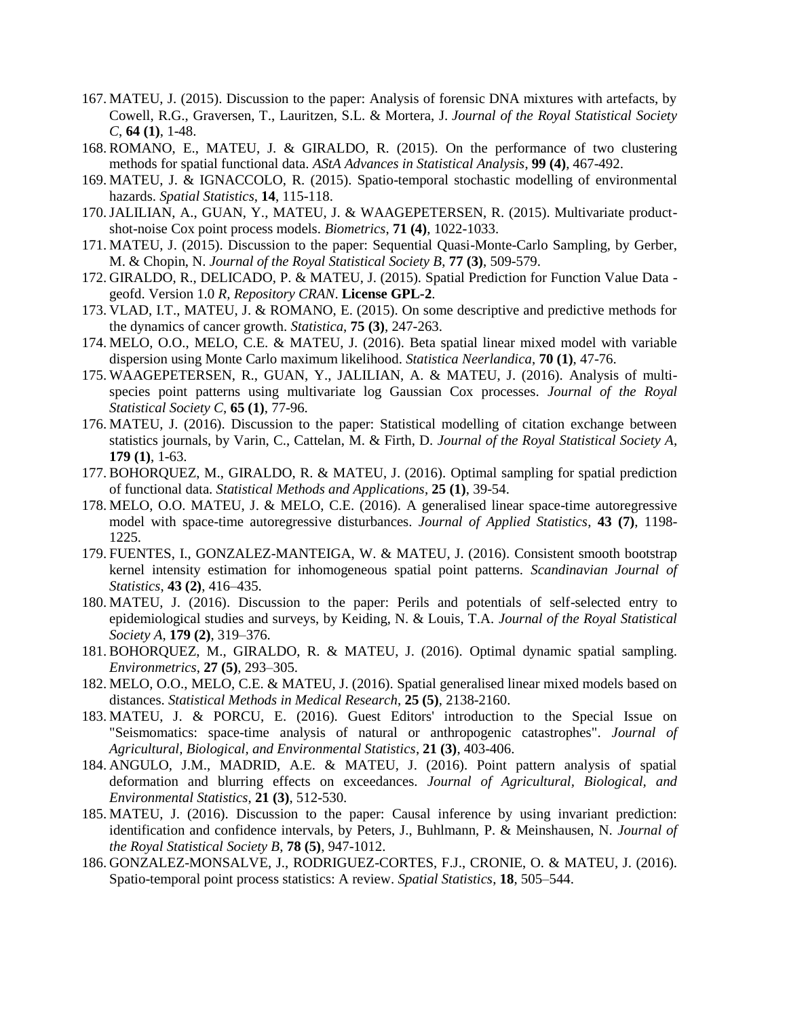- 167. MATEU, J. (2015). Discussion to the paper: Analysis of forensic DNA mixtures with artefacts, by Cowell, R.G., Graversen, T., Lauritzen, S.L. & Mortera, J. *Journal of the Royal Statistical Society C*, **64 (1)**, 1-48.
- 168. ROMANO, E., MATEU, J. & GIRALDO, R. (2015). On the performance of two clustering methods for spatial functional data. *AStA Advances in Statistical Analysis*, **99 (4)**, 467-492.
- 169. MATEU, J. & IGNACCOLO, R. (2015). Spatio-temporal stochastic modelling of environmental hazards. *Spatial Statistics*, **14**, 115-118.
- 170.JALILIAN, A., GUAN, Y., MATEU, J. & WAAGEPETERSEN, R. (2015). Multivariate productshot-noise Cox point process models. *Biometrics*, **71 (4)**, 1022-1033.
- 171. MATEU, J. (2015). Discussion to the paper: Sequential Quasi-Monte-Carlo Sampling, by Gerber, M. & Chopin, N. *Journal of the Royal Statistical Society B*, **77 (3)**, 509-579.
- 172. GIRALDO, R., DELICADO, P. & MATEU, J. (2015). Spatial Prediction for Function Value Data geofd. Version 1.0 *R, Repository CRAN*. **License GPL-2**.
- 173. VLAD, I.T., MATEU, J. & ROMANO, E. (2015). On some descriptive and predictive methods for the dynamics of cancer growth. *Statistica*, **75 (3)**, 247-263.
- 174. MELO, O.O., MELO, C.E. & MATEU, J. (2016). Beta spatial linear mixed model with variable dispersion using Monte Carlo maximum likelihood. *Statistica Neerlandica*, **70 (1)**, 47-76.
- 175. WAAGEPETERSEN, R., GUAN, Y., JALILIAN, A. & MATEU, J. (2016). Analysis of multispecies point patterns using multivariate log Gaussian Cox processes. *Journal of the Royal Statistical Society C*, **65 (1)**, 77-96.
- 176. MATEU, J. (2016). Discussion to the paper: Statistical modelling of citation exchange between statistics journals, by Varin, C., Cattelan, M. & Firth, D. *Journal of the Royal Statistical Society A*, **179 (1)**, 1-63.
- 177. BOHORQUEZ, M., GIRALDO, R. & MATEU, J. (2016). Optimal sampling for spatial prediction of functional data. *Statistical Methods and Applications*, **25 (1)**, 39-54.
- 178. MELO, O.O. MATEU, J. & MELO, C.E. (2016). A generalised linear space-time autoregressive model with space-time autoregressive disturbances. *Journal of Applied Statistics*, **43 (7)**, 1198- 1225.
- 179. FUENTES, I., GONZALEZ-MANTEIGA, W. & MATEU, J. (2016). Consistent smooth bootstrap kernel intensity estimation for inhomogeneous spatial point patterns. *Scandinavian Journal of Statistics*, **43 (2)**, 416–435.
- 180. MATEU, J. (2016). Discussion to the paper: Perils and potentials of self-selected entry to epidemiological studies and surveys, by Keiding, N. & Louis, T.A. *Journal of the Royal Statistical Society A*, **179 (2)**, 319–376.
- 181. BOHORQUEZ, M., GIRALDO, R. & MATEU, J. (2016). Optimal dynamic spatial sampling. *Environmetrics*, **27 (5)**, 293–305.
- 182. MELO, O.O., MELO, C.E. & MATEU, J. (2016). Spatial generalised linear mixed models based on distances. *Statistical Methods in Medical Research*, **25 (5)**, 2138-2160.
- 183. MATEU, J. & PORCU, E. (2016). Guest Editors' introduction to the Special Issue on "Seismomatics: space-time analysis of natural or anthropogenic catastrophes". *Journal of Agricultural, Biological, and Environmental Statistics*, **21 (3)**, 403-406.
- 184. ANGULO, J.M., MADRID, A.E. & MATEU, J. (2016). Point pattern analysis of spatial deformation and blurring effects on exceedances. *Journal of Agricultural, Biological, and Environmental Statistics*, **21 (3)**, 512-530.
- 185. MATEU, J. (2016). Discussion to the paper: Causal inference by using invariant prediction: identification and confidence intervals, by Peters, J., Buhlmann, P. & Meinshausen, N. *Journal of the Royal Statistical Society B*, **78 (5)**, 947-1012.
- 186. GONZALEZ-MONSALVE, J., RODRIGUEZ-CORTES, F.J., CRONIE, O. & MATEU, J. (2016). Spatio-temporal point process statistics: A review. *Spatial Statistics*, **18**, 505–544.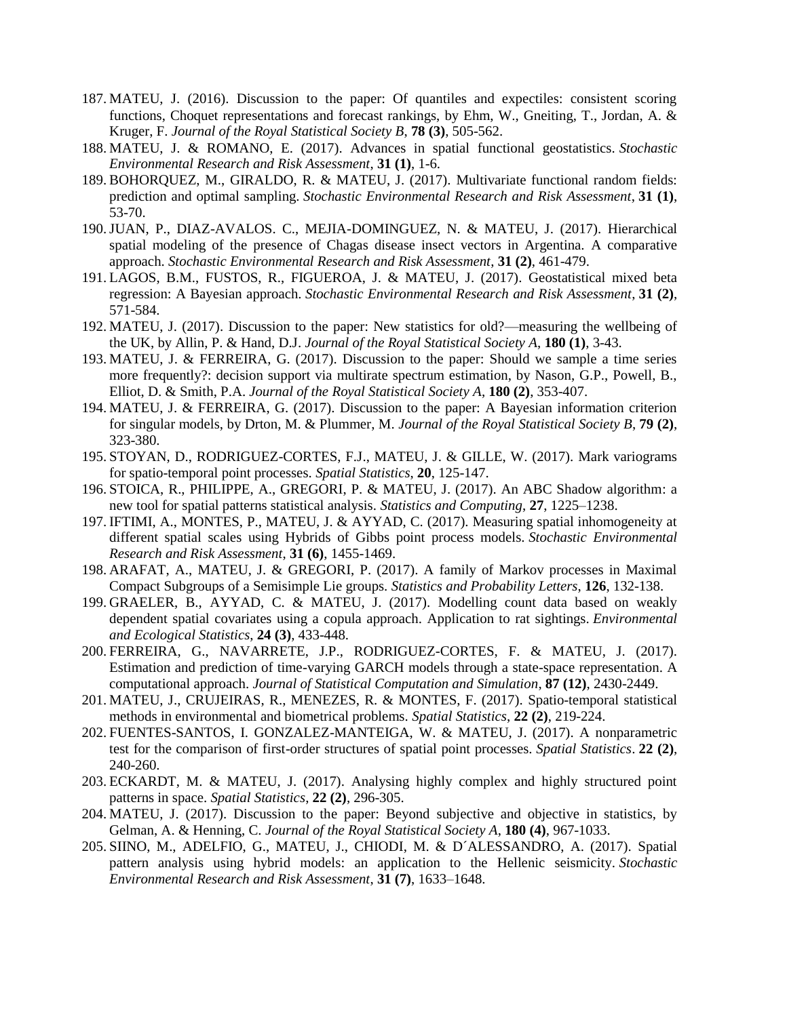- 187. MATEU, J. (2016). Discussion to the paper: Of quantiles and expectiles: consistent scoring functions, Choquet representations and forecast rankings, by Ehm, W., Gneiting, T., Jordan, A. & Kruger, F. *Journal of the Royal Statistical Society B*, **78 (3)**, 505-562.
- 188. MATEU, J. & ROMANO, E. (2017). Advances in spatial functional geostatistics. *Stochastic Environmental Research and Risk Assessment*, **31 (1)**, 1-6.
- 189. BOHORQUEZ, M., GIRALDO, R. & MATEU, J. (2017). Multivariate functional random fields: prediction and optimal sampling. *Stochastic Environmental Research and Risk Assessment*, **31 (1)**, 53-70.
- 190.JUAN, P., DIAZ-AVALOS. C., MEJIA-DOMINGUEZ, N. & MATEU, J. (2017). Hierarchical spatial modeling of the presence of Chagas disease insect vectors in Argentina. A comparative approach. *Stochastic Environmental Research and Risk Assessment*, **31 (2)**, 461-479.
- 191. LAGOS, B.M., FUSTOS, R., FIGUEROA, J. & MATEU, J. (2017). Geostatistical mixed beta regression: A Bayesian approach. *Stochastic Environmental Research and Risk Assessment*, **31 (2)**, 571-584.
- 192. MATEU, J. (2017). Discussion to the paper: New statistics for old?—measuring the wellbeing of the UK, by Allin, P. & Hand, D.J. *Journal of the Royal Statistical Society A*, **180 (1)**, 3-43.
- 193. MATEU, J. & FERREIRA, G. (2017). Discussion to the paper: Should we sample a time series more frequently?: decision support via multirate spectrum estimation, by Nason, G.P., Powell, B., Elliot, D. & Smith, P.A. *Journal of the Royal Statistical Society A*, **180 (2)**, 353-407.
- 194. MATEU, J. & FERREIRA, G. (2017). Discussion to the paper: A Bayesian information criterion for singular models, by Drton, M. & Plummer, M. *Journal of the Royal Statistical Society B*, **79 (2)**, 323-380.
- 195. STOYAN, D., RODRIGUEZ-CORTES, F.J., MATEU, J. & GILLE, W. (2017). Mark variograms for spatio-temporal point processes. *Spatial Statistics*, **20**, 125-147.
- 196. STOICA, R., PHILIPPE, A., GREGORI, P. & MATEU, J. (2017). An ABC Shadow algorithm: a new tool for spatial patterns statistical analysis. *Statistics and Computing*, **27**, 1225–1238.
- 197. IFTIMI, A., MONTES, P., MATEU, J. & AYYAD, C. (2017). Measuring spatial inhomogeneity at different spatial scales using Hybrids of Gibbs point process models. *Stochastic Environmental Research and Risk Assessment*, **31 (6)**, 1455-1469.
- 198. ARAFAT, A., MATEU, J. & GREGORI, P. (2017). A family of Markov processes in Maximal Compact Subgroups of a Semisimple Lie groups. *Statistics and Probability Letters*, **126**, 132-138.
- 199. GRAELER, B., AYYAD, C. & MATEU, J. (2017). Modelling count data based on weakly dependent spatial covariates using a copula approach. Application to rat sightings. *Environmental and Ecological Statistics*, **24 (3)**, 433-448.
- 200. FERREIRA, G., NAVARRETE, J.P., RODRIGUEZ-CORTES, F. & MATEU, J. (2017). Estimation and prediction of time-varying GARCH models through a state-space representation. A computational approach. *Journal of Statistical Computation and Simulation*, **87 (12)**, 2430-2449.
- 201. MATEU, J., CRUJEIRAS, R., MENEZES, R. & MONTES, F. (2017). Spatio-temporal statistical methods in environmental and biometrical problems. *Spatial Statistics*, **22 (2)**, 219-224.
- 202. FUENTES-SANTOS, I. GONZALEZ-MANTEIGA, W. & MATEU, J. (2017). A nonparametric test for the comparison of first-order structures of spatial point processes. *Spatial Statistics*. **22 (2)**, 240-260.
- 203. ECKARDT, M. & MATEU, J. (2017). Analysing highly complex and highly structured point patterns in space. *Spatial Statistics*, **22 (2)**, 296-305.
- 204. MATEU, J. (2017). Discussion to the paper: Beyond subjective and objective in statistics, by Gelman, A. & Henning, C. *Journal of the Royal Statistical Society A*, **180 (4)**, 967-1033.
- 205. SIINO, M., ADELFIO, G., MATEU, J., CHIODI, M. & D´ALESSANDRO, A. (2017). Spatial pattern analysis using hybrid models: an application to the Hellenic seismicity. *Stochastic Environmental Research and Risk Assessment*, **31 (7)**, 1633–1648.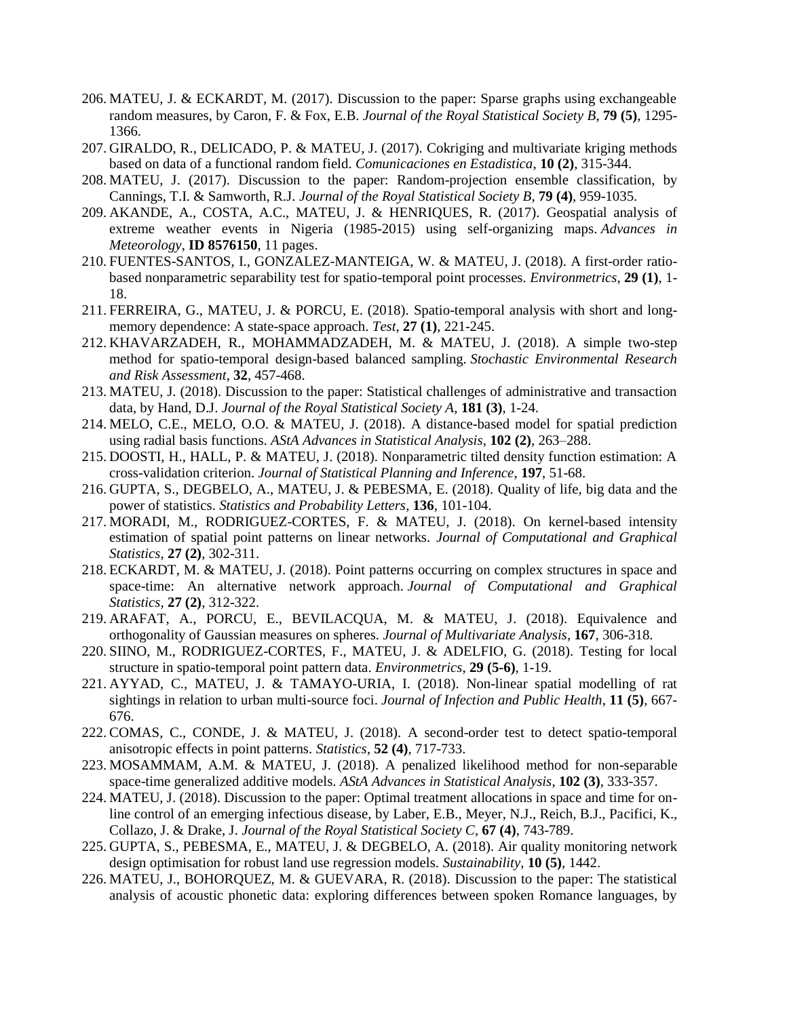- 206. MATEU, J. & ECKARDT, M. (2017). Discussion to the paper: Sparse graphs using exchangeable random measures, by Caron, F. & Fox, E.B. *Journal of the Royal Statistical Society B*, **79 (5)**, 1295- 1366.
- 207. GIRALDO, R., DELICADO, P. & MATEU, J. (2017). Cokriging and multivariate kriging methods based on data of a functional random field. *Comunicaciones en Estadistica*, **10 (2)**, 315-344.
- 208. MATEU, J. (2017). Discussion to the paper: Random-projection ensemble classification, by Cannings, T.I. & Samworth, R.J. *Journal of the Royal Statistical Society B*, **79 (4)**, 959-1035.
- 209. AKANDE, A., COSTA, A.C., MATEU, J. & HENRIQUES, R. (2017). Geospatial analysis of extreme weather events in Nigeria (1985-2015) using self-organizing maps. *Advances in Meteorology*, **ID 8576150**, 11 pages.
- 210. FUENTES-SANTOS, I., GONZALEZ-MANTEIGA, W. & MATEU, J. (2018). A first-order ratiobased nonparametric separability test for spatio-temporal point processes. *Environmetrics*, **29 (1)**, 1- 18.
- 211. FERREIRA, G., MATEU, J. & PORCU, E. (2018). Spatio-temporal analysis with short and longmemory dependence: A state-space approach. *Test*, **27 (1)**, 221-245.
- 212. KHAVARZADEH, R., MOHAMMADZADEH, M. & MATEU, J. (2018). A simple two-step method for spatio-temporal design-based balanced sampling. *Stochastic Environmental Research and Risk Assessment*, **32**, 457-468.
- 213. MATEU, J. (2018). Discussion to the paper: Statistical challenges of administrative and transaction data, by Hand, D.J. *Journal of the Royal Statistical Society A*, **181 (3)**, 1-24.
- 214. MELO, C.E., MELO, O.O. & MATEU, J. (2018). A distance-based model for spatial prediction using radial basis functions. *AStA Advances in Statistical Analysis*, **102 (2)**, 263–288.
- 215. DOOSTI, H., HALL, P. & MATEU, J. (2018). Nonparametric tilted density function estimation: A cross-validation criterion. *Journal of Statistical Planning and Inference*, **197**, 51-68.
- 216. GUPTA, S., DEGBELO, A., MATEU, J. & PEBESMA, E. (2018). Quality of life, big data and the power of statistics. *Statistics and Probability Letters*, **136**, 101-104.
- 217. MORADI, M., RODRIGUEZ-CORTES, F. & MATEU, J. (2018). On kernel-based intensity estimation of spatial point patterns on linear networks. *Journal of Computational and Graphical Statistics*, **27 (2)**, 302-311.
- 218. ECKARDT, M. & MATEU, J. (2018). Point patterns occurring on complex structures in space and space-time: An alternative network approach. *Journal of Computational and Graphical Statistics*, **27 (2)**, 312-322.
- 219. ARAFAT, A., PORCU, E., BEVILACQUA, M. & MATEU, J. (2018). Equivalence and orthogonality of Gaussian measures on spheres. *Journal of Multivariate Analysis*, **167**, 306-318.
- 220. SIINO, M., RODRIGUEZ-CORTES, F., MATEU, J. & ADELFIO, G. (2018). Testing for local structure in spatio-temporal point pattern data. *Environmetrics*, **29 (5-6)**, 1-19.
- 221. AYYAD, C., MATEU, J. & TAMAYO-URIA, I. (2018). Non-linear spatial modelling of rat sightings in relation to urban multi-source foci. *Journal of Infection and Public Health*, **11 (5)**, 667- 676.
- 222. COMAS, C., CONDE, J. & MATEU, J. (2018). A second-order test to detect spatio-temporal anisotropic effects in point patterns. *Statistics*, **52 (4)**, 717-733.
- 223. MOSAMMAM, A.M. & MATEU, J. (2018). A penalized likelihood method for non-separable space-time generalized additive models. *AStA Advances in Statistical Analysis*, **102 (3)**, 333-357.
- 224. MATEU, J. (2018). Discussion to the paper: Optimal treatment allocations in space and time for online control of an emerging infectious disease, by Laber, E.B., Meyer, N.J., Reich, B.J., Pacifici, K., Collazo, J. & Drake, J. *Journal of the Royal Statistical Society C*, **67 (4)**, 743-789.
- 225. GUPTA, S., PEBESMA, E., MATEU, J. & DEGBELO, A. (2018). Air quality monitoring network design optimisation for robust land use regression models. *Sustainability*, **10 (5)**, 1442.
- 226. MATEU, J., BOHORQUEZ, M. & GUEVARA, R. (2018). Discussion to the paper: The statistical analysis of acoustic phonetic data: exploring differences between spoken Romance languages, by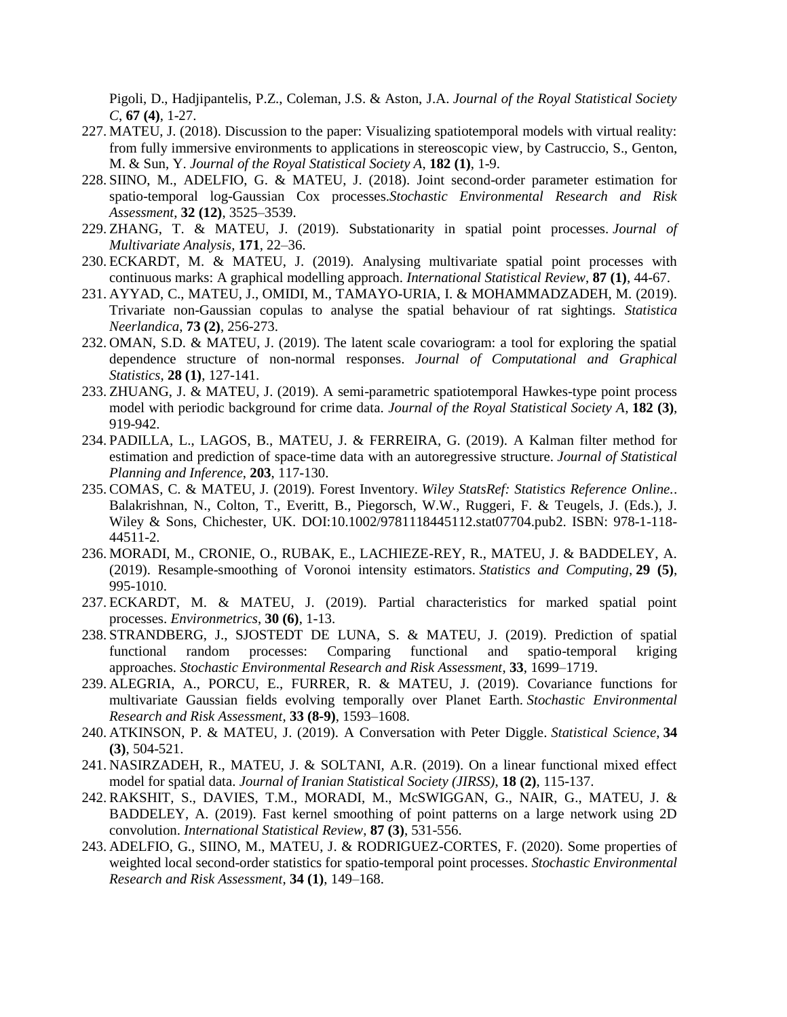Pigoli, D., Hadjipantelis, P.Z., Coleman, J.S. & Aston, J.A. *Journal of the Royal Statistical Society C*, **67 (4)**, 1-27.

- 227. MATEU, J. (2018). Discussion to the paper: Visualizing spatiotemporal models with virtual reality: from fully immersive environments to applications in stereoscopic view, by Castruccio, S., Genton, M. & Sun, Y. *Journal of the Royal Statistical Society A*, **182 (1)**, 1-9.
- 228. SIINO, M., ADELFIO, G. & MATEU, J. (2018). Joint second-order parameter estimation for spatio-temporal log-Gaussian Cox processes.*Stochastic Environmental Research and Risk Assessment*, **32 (12)**, 3525–3539.
- 229. ZHANG, T. & MATEU, J. (2019). Substationarity in spatial point processes. *Journal of Multivariate Analysis*, **171**, 22–36.
- 230. ECKARDT, M. & MATEU, J. (2019). Analysing multivariate spatial point processes with continuous marks: A graphical modelling approach. *International Statistical Review*, **87 (1)**, 44-67.
- 231. AYYAD, C., MATEU, J., OMIDI, M., TAMAYO-URIA, I. & MOHAMMADZADEH, M. (2019). Trivariate non-Gaussian copulas to analyse the spatial behaviour of rat sightings. *Statistica Neerlandica*, **73 (2)**, 256-273.
- 232. OMAN, S.D. & MATEU, J. (2019). The latent scale covariogram: a tool for exploring the spatial dependence structure of non-normal responses. *Journal of Computational and Graphical Statistics*, **28 (1)**, 127-141.
- 233. ZHUANG, J. & MATEU, J. (2019). A semi-parametric spatiotemporal Hawkes-type point process model with periodic background for crime data. *Journal of the Royal Statistical Society A*, **182 (3)**, 919-942.
- 234. PADILLA, L., LAGOS, B., MATEU, J. & FERREIRA, G. (2019). A Kalman filter method for estimation and prediction of space-time data with an autoregressive structure. *Journal of Statistical Planning and Inference*, **203**, 117-130.
- 235. COMAS, C. & MATEU, J. (2019). Forest Inventory. *Wiley StatsRef: Statistics Reference Online.*. Balakrishnan, N., Colton, T., Everitt, B., Piegorsch, W.W., Ruggeri, F. & Teugels, J. (Eds.), J. Wiley & Sons, Chichester, UK. DOI:10.1002/9781118445112.stat07704.pub2. ISBN: 978-1-118- 44511-2.
- 236. MORADI, M., CRONIE, O., RUBAK, E., LACHIEZE-REY, R., MATEU, J. & BADDELEY, A. (2019). Resample-smoothing of Voronoi intensity estimators. *Statistics and Computing*, **29 (5)**, 995-1010.
- 237. ECKARDT, M. & MATEU, J. (2019). Partial characteristics for marked spatial point processes. *Environmetrics*, **30 (6)**, 1-13.
- 238. STRANDBERG, J., SJOSTEDT DE LUNA, S. & MATEU, J. (2019). Prediction of spatial functional random processes: Comparing functional and spatio-temporal kriging approaches. *Stochastic Environmental Research and Risk Assessment*, **33**, 1699–1719.
- 239. ALEGRIA, A., PORCU, E., FURRER, R. & MATEU, J. (2019). Covariance functions for multivariate Gaussian fields evolving temporally over Planet Earth. *Stochastic Environmental Research and Risk Assessment*, **33 (8-9)**, 1593–1608.
- 240. ATKINSON, P. & MATEU, J. (2019). A Conversation with Peter Diggle. *Statistical Science*, **34 (3)**, 504-521.
- 241. NASIRZADEH, R., MATEU, J. & SOLTANI, A.R. (2019). On a linear functional mixed effect model for spatial data. *Journal of Iranian Statistical Society (JIRSS)*, **18 (2)**, 115-137.
- 242. RAKSHIT, S., DAVIES, T.M., MORADI, M., McSWIGGAN, G., NAIR, G., MATEU, J. & BADDELEY, A. (2019). Fast kernel smoothing of point patterns on a large network using 2D convolution. *International Statistical Review*, **87 (3)**, 531-556.
- 243. ADELFIO, G., SIINO, M., MATEU, J. & RODRIGUEZ-CORTES, F. (2020). Some properties of weighted local second-order statistics for spatio-temporal point processes. *Stochastic Environmental Research and Risk Assessment*, **34 (1)**, 149–168.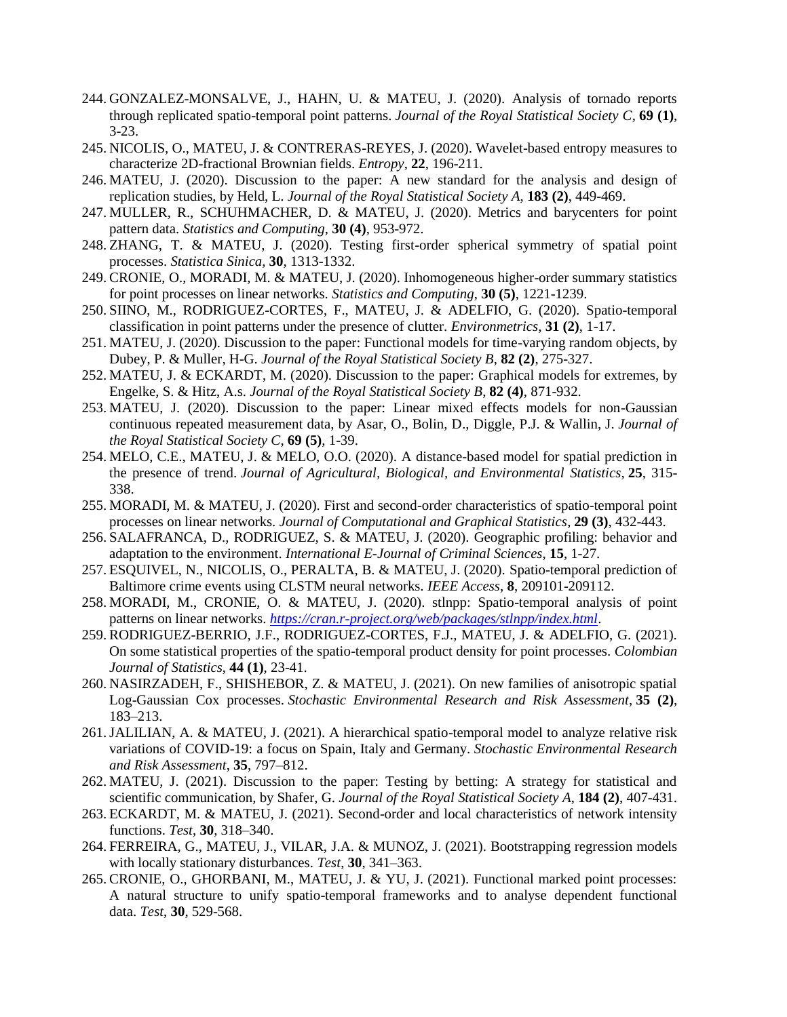- 244. GONZALEZ-MONSALVE, J., HAHN, U. & MATEU, J. (2020). Analysis of tornado reports through replicated spatio-temporal point patterns. *Journal of the Royal Statistical Society C*, **69 (1)**, 3-23.
- 245. NICOLIS, O., MATEU, J. & CONTRERAS-REYES, J. (2020). Wavelet-based entropy measures to characterize 2D-fractional Brownian fields. *Entropy*, **22**, 196-211.
- 246. MATEU, J. (2020). Discussion to the paper: A new standard for the analysis and design of replication studies, by Held, L. *Journal of the Royal Statistical Society A*, **183 (2)**, 449-469.
- 247. MULLER, R., SCHUHMACHER, D. & MATEU, J. (2020). Metrics and barycenters for point pattern data. *Statistics and Computing*, **30 (4)**, 953-972.
- 248. ZHANG, T. & MATEU, J. (2020). Testing first-order spherical symmetry of spatial point processes. *Statistica Sinica*, **30**, 1313-1332.
- 249. CRONIE, O., MORADI, M. & MATEU, J. (2020). Inhomogeneous higher-order summary statistics for point processes on linear networks. *Statistics and Computing*, **30 (5)**, 1221-1239.
- 250. SIINO, M., RODRIGUEZ-CORTES, F., MATEU, J. & ADELFIO, G. (2020). Spatio-temporal classification in point patterns under the presence of clutter. *Environmetrics*, **31 (2)**, 1-17.
- 251. MATEU, J. (2020). Discussion to the paper: Functional models for time-varying random objects, by Dubey, P. & Muller, H-G. *Journal of the Royal Statistical Society B*, **82 (2)**, 275-327.
- 252. MATEU, J. & ECKARDT, M. (2020). Discussion to the paper: Graphical models for extremes, by Engelke, S. & Hitz, A.s. *Journal of the Royal Statistical Society B*, **82 (4)**, 871-932.
- 253. MATEU, J. (2020). Discussion to the paper: Linear mixed effects models for non-Gaussian continuous repeated measurement data, by Asar, O., Bolin, D., Diggle, P.J. & Wallin, J. *Journal of the Royal Statistical Society C*, **69 (5)**, 1-39.
- 254. MELO, C.E., MATEU, J. & MELO, O.O. (2020). A distance-based model for spatial prediction in the presence of trend. *Journal of Agricultural, Biological, and Environmental Statistics*, **25**, 315- 338.
- 255. MORADI, M. & MATEU, J. (2020). First and second-order characteristics of spatio-temporal point processes on linear networks. *Journal of Computational and Graphical Statistics*, **29 (3)**, 432-443.
- 256. SALAFRANCA, D., RODRIGUEZ, S. & MATEU, J. (2020). Geographic profiling: behavior and adaptation to the environment. *International E-Journal of Criminal Sciences*, **15**, 1-27.
- 257. ESQUIVEL, N., NICOLIS, O., PERALTA, B. & MATEU, J. (2020). Spatio-temporal prediction of Baltimore crime events using CLSTM neural networks. *IEEE Access*, **8**, 209101-209112.
- 258. MORADI, M., CRONIE, O. & MATEU, J. (2020). stlnpp: Spatio-temporal analysis of point patterns on linear networks. *<https://cran.r-project.org/web/packages/stlnpp/index.html>*.
- 259. RODRIGUEZ-BERRIO, J.F., RODRIGUEZ-CORTES, F.J., MATEU, J. & ADELFIO, G. (2021). On some statistical properties of the spatio-temporal product density for point processes. *Colombian Journal of Statistics*, **44 (1)**, 23-41.
- 260. NASIRZADEH, F., SHISHEBOR, Z. & MATEU, J. (2021). On new families of anisotropic spatial Log-Gaussian Cox processes. *Stochastic Environmental Research and Risk Assessment*, **35 (2)**, 183–213.
- 261.JALILIAN, A. & MATEU, J. (2021). A hierarchical spatio-temporal model to analyze relative risk variations of COVID-19: a focus on Spain, Italy and Germany. *Stochastic Environmental Research and Risk Assessment*, **35**, 797–812.
- 262. MATEU, J. (2021). Discussion to the paper: Testing by betting: A strategy for statistical and scientific communication, by Shafer, G. *Journal of the Royal Statistical Society A*, **184 (2)**, 407-431.
- 263. ECKARDT, M. & MATEU, J. (2021). Second-order and local characteristics of network intensity functions. *Test*, **30**, 318–340.
- 264. FERREIRA, G., MATEU, J., VILAR, J.A. & MUNOZ, J. (2021). Bootstrapping regression models with locally stationary disturbances. *Test*, **30**, 341–363.
- 265. CRONIE, O., GHORBANI, M., MATEU, J. & YU, J. (2021). Functional marked point processes: A natural structure to unify spatio-temporal frameworks and to analyse dependent functional data. *Test*, **30**, 529-568.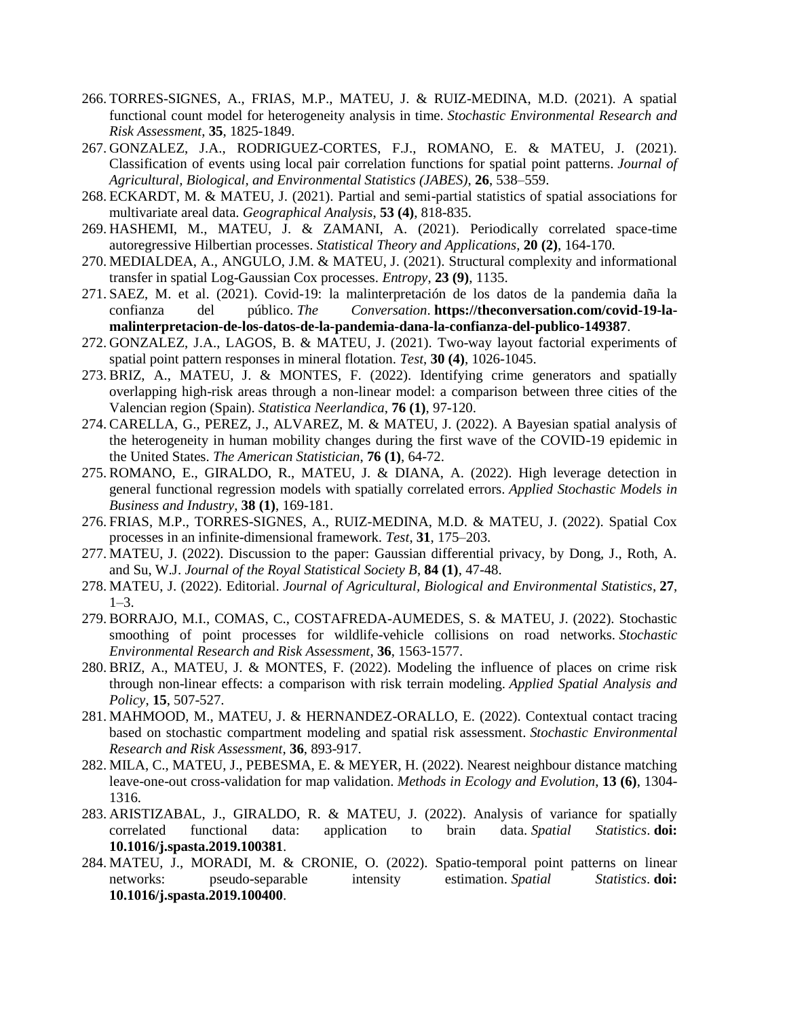- 266. TORRES-SIGNES, A., FRIAS, M.P., MATEU, J. & RUIZ-MEDINA, M.D. (2021). A spatial functional count model for heterogeneity analysis in time. *Stochastic Environmental Research and Risk Assessment*, **35**, 1825-1849.
- 267. GONZALEZ, J.A., RODRIGUEZ-CORTES, F.J., ROMANO, E. & MATEU, J. (2021). Classification of events using local pair correlation functions for spatial point patterns. *Journal of Agricultural, Biological, and Environmental Statistics (JABES)*, **26**, 538–559.
- 268. ECKARDT, M. & MATEU, J. (2021). Partial and semi-partial statistics of spatial associations for multivariate areal data. *Geographical Analysis*, **53 (4)**, 818-835.
- 269. HASHEMI, M., MATEU, J. & ZAMANI, A. (2021). Periodically correlated space-time autoregressive Hilbertian processes. *Statistical Theory and Applications*, **20 (2)**, 164-170.
- 270. MEDIALDEA, A., ANGULO, J.M. & MATEU, J. (2021). Structural complexity and informational transfer in spatial Log-Gaussian Cox processes. *Entropy*, **23 (9)**, 1135.
- 271. SAEZ, M. et al. (2021). Covid-19: la malinterpretación de los datos de la pandemia daña la confianza del público. *The Conversation*. **https://theconversation.com/covid-19-lamalinterpretacion-de-los-datos-de-la-pandemia-dana-la-confianza-del-publico-149387**.
- 272. GONZALEZ, J.A., LAGOS, B. & MATEU, J. (2021). Two-way layout factorial experiments of spatial point pattern responses in mineral flotation. *Test*, **30 (4)**, 1026-1045.
- 273. BRIZ, A., MATEU, J. & MONTES, F. (2022). Identifying crime generators and spatially overlapping high-risk areas through a non-linear model: a comparison between three cities of the Valencian region (Spain). *Statistica Neerlandica*, **76 (1)**, 97-120.
- 274. CARELLA, G., PEREZ, J., ALVAREZ, M. & MATEU, J. (2022). A Bayesian spatial analysis of the heterogeneity in human mobility changes during the first wave of the COVID-19 epidemic in the United States. *The American Statistician*, **76 (1)**, 64-72.
- 275. ROMANO, E., GIRALDO, R., MATEU, J. & DIANA, A. (2022). High leverage detection in general functional regression models with spatially correlated errors. *Applied Stochastic Models in Business and Industry*, **38 (1)**, 169-181.
- 276. FRIAS, M.P., TORRES-SIGNES, A., RUIZ-MEDINA, M.D. & MATEU, J. (2022). Spatial Cox processes in an infinite-dimensional framework. *Test*, **31**, 175–203.
- 277. MATEU, J. (2022). Discussion to the paper: Gaussian differential privacy, by Dong, J., Roth, A. and Su, W.J. *Journal of the Royal Statistical Society B*, **84 (1)**, 47-48.
- 278. MATEU, J. (2022). Editorial. *Journal of Agricultural, Biological and Environmental Statistics*, **27**,  $1-3.$
- 279. BORRAJO, M.I., COMAS, C., COSTAFREDA-AUMEDES, S. & MATEU, J. (2022). Stochastic smoothing of point processes for wildlife-vehicle collisions on road networks. *Stochastic Environmental Research and Risk Assessment*, **36**, 1563-1577.
- 280. BRIZ, A., MATEU, J. & MONTES, F. (2022). Modeling the influence of places on crime risk through non-linear effects: a comparison with risk terrain modeling. *Applied Spatial Analysis and Policy*, **15**, 507-527.
- 281. MAHMOOD, M., MATEU, J. & HERNANDEZ-ORALLO, E. (2022). Contextual contact tracing based on stochastic compartment modeling and spatial risk assessment. *Stochastic Environmental Research and Risk Assessment*, **36**, 893-917.
- 282. MILA, C., MATEU, J., PEBESMA, E. & MEYER, H. (2022). Nearest neighbour distance matching leave-one-out cross-validation for map validation. *Methods in Ecology and Evolution*, **13 (6)**, 1304- 1316.
- 283. ARISTIZABAL, J., GIRALDO, R. & MATEU, J. (2022). Analysis of variance for spatially correlated functional data: application to brain data. *Spatial Statistics*. **doi: 10.1016/j.spasta.2019.100381**.
- 284. MATEU, J., MORADI, M. & CRONIE, O. (2022). Spatio-temporal point patterns on linear networks: pseudo-separable intensity estimation. *Spatial Statistics*. **doi: 10.1016/j.spasta.2019.100400**.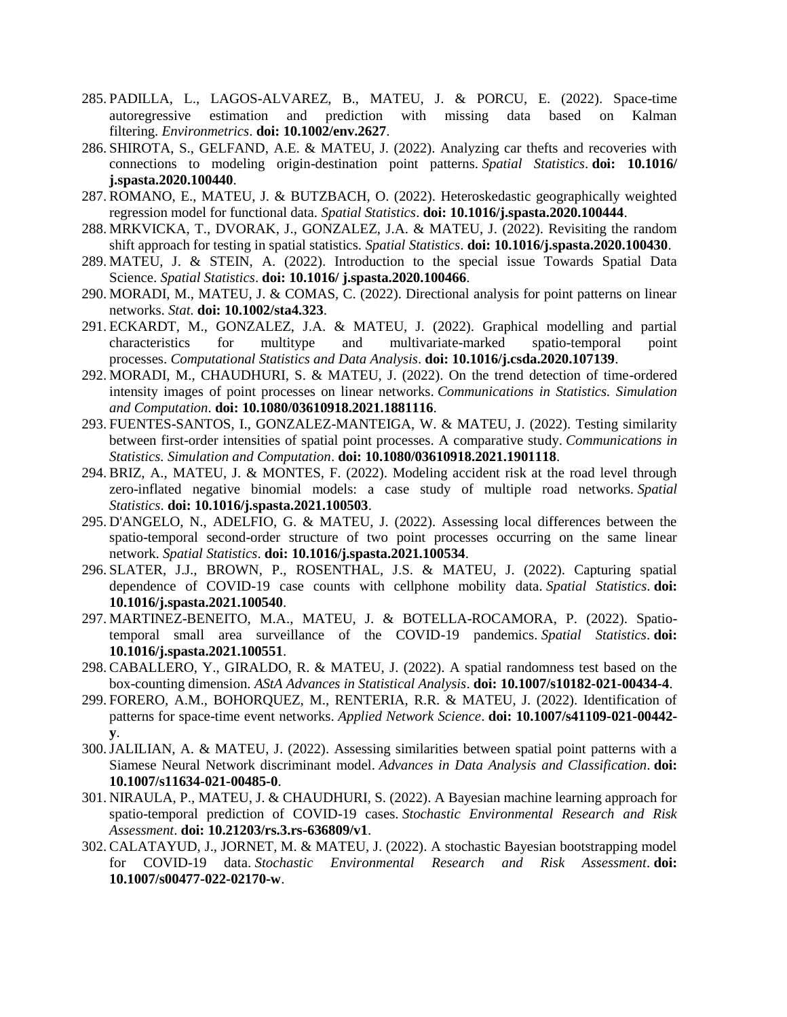- 285. PADILLA, L., LAGOS-ALVAREZ, B., MATEU, J. & PORCU, E. (2022). Space-time autoregressive estimation and prediction with missing data based on Kalman filtering. *Environmetrics*. **doi: 10.1002/env.2627**.
- 286. SHIROTA, S., GELFAND, A.E. & MATEU, J. (2022). Analyzing car thefts and recoveries with connections to modeling origin-destination point patterns. *Spatial Statistics*. **doi: 10.1016/ j.spasta.2020.100440**.
- 287. ROMANO, E., MATEU, J. & BUTZBACH, O. (2022). Heteroskedastic geographically weighted regression model for functional data. *Spatial Statistics*. **doi: 10.1016/j.spasta.2020.100444**.
- 288. MRKVICKA, T., DVORAK, J., GONZALEZ, J.A. & MATEU, J. (2022). Revisiting the random shift approach for testing in spatial statistics. *Spatial Statistics*. **doi: 10.1016/j.spasta.2020.100430**.
- 289. MATEU, J. & STEIN, A. (2022). Introduction to the special issue Towards Spatial Data Science. *Spatial Statistics*. **doi: 10.1016/ j.spasta.2020.100466**.
- 290. MORADI, M., MATEU, J. & COMAS, C. (2022). Directional analysis for point patterns on linear networks. *Stat*. **doi: 10.1002/sta4.323**.
- 291. ECKARDT, M., GONZALEZ, J.A. & MATEU, J. (2022). Graphical modelling and partial characteristics for multitype and multivariate-marked spatio-temporal point processes. *Computational Statistics and Data Analysis*. **doi: 10.1016/j.csda.2020.107139**.
- 292. MORADI, M., CHAUDHURI, S. & MATEU, J. (2022). On the trend detection of time-ordered intensity images of point processes on linear networks. *Communications in Statistics. Simulation and Computation*. **doi: 10.1080/03610918.2021.1881116**.
- 293. FUENTES-SANTOS, I., GONZALEZ-MANTEIGA, W. & MATEU, J. (2022). Testing similarity between first-order intensities of spatial point processes. A comparative study. *Communications in Statistics. Simulation and Computation*. **doi: 10.1080/03610918.2021.1901118**.
- 294. BRIZ, A., MATEU, J. & MONTES, F. (2022). Modeling accident risk at the road level through zero-inflated negative binomial models: a case study of multiple road networks. *Spatial Statistics*. **doi: 10.1016/j.spasta.2021.100503**.
- 295. D'ANGELO, N., ADELFIO, G. & MATEU, J. (2022). Assessing local differences between the spatio-temporal second-order structure of two point processes occurring on the same linear network. *Spatial Statistics*. **doi: 10.1016/j.spasta.2021.100534**.
- 296. SLATER, J.J., BROWN, P., ROSENTHAL, J.S. & MATEU, J. (2022). Capturing spatial dependence of COVID-19 case counts with cellphone mobility data. *Spatial Statistics*. **doi: 10.1016/j.spasta.2021.100540**.
- 297. MARTINEZ-BENEITO, M.A., MATEU, J. & BOTELLA-ROCAMORA, P. (2022). Spatiotemporal small area surveillance of the COVID-19 pandemics. *Spatial Statistics*. **doi: 10.1016/j.spasta.2021.100551**.
- 298. CABALLERO, Y., GIRALDO, R. & MATEU, J. (2022). A spatial randomness test based on the box-counting dimension. *AStA Advances in Statistical Analysis*. **doi: 10.1007/s10182-021-00434-4**.
- 299. FORERO, A.M., BOHORQUEZ, M., RENTERIA, R.R. & MATEU, J. (2022). Identification of patterns for space-time event networks. *Applied Network Science*. **doi: 10.1007/s41109-021-00442 y**.
- 300.JALILIAN, A. & MATEU, J. (2022). Assessing similarities between spatial point patterns with a Siamese Neural Network discriminant model. *Advances in Data Analysis and Classification*. **doi: 10.1007/s11634-021-00485-0**.
- 301. NIRAULA, P., MATEU, J. & CHAUDHURI, S. (2022). A Bayesian machine learning approach for spatio-temporal prediction of COVID-19 cases. *Stochastic Environmental Research and Risk Assessment*. **doi: 10.21203/rs.3.rs-636809/v1**.
- 302. CALATAYUD, J., JORNET, M. & MATEU, J. (2022). A stochastic Bayesian bootstrapping model for COVID-19 data. *Stochastic Environmental Research and Risk Assessment*. **doi: 10.1007/s00477-022-02170-w**.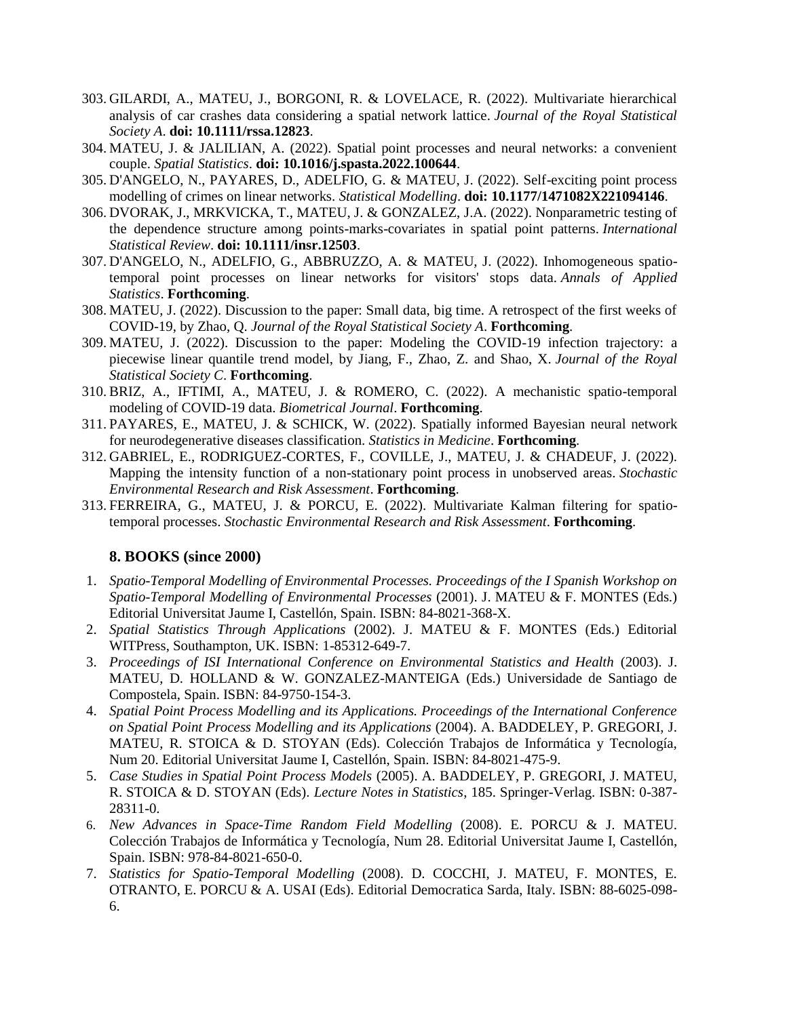- 303. GILARDI, A., MATEU, J., BORGONI, R. & LOVELACE, R. (2022). Multivariate hierarchical analysis of car crashes data considering a spatial network lattice. *Journal of the Royal Statistical Society A*. **doi: 10.1111/rssa.12823**.
- 304. MATEU, J. & JALILIAN, A. (2022). Spatial point processes and neural networks: a convenient couple. *Spatial Statistics*. **doi: 10.1016/j.spasta.2022.100644**.
- 305. D'ANGELO, N., PAYARES, D., ADELFIO, G. & MATEU, J. (2022). Self-exciting point process modelling of crimes on linear networks. *Statistical Modelling*. **doi: 10.1177/1471082X221094146**.
- 306. DVORAK, J., MRKVICKA, T., MATEU, J. & GONZALEZ, J.A. (2022). Nonparametric testing of the dependence structure among points-marks-covariates in spatial point patterns. *International Statistical Review*. **doi: 10.1111/insr.12503**.
- 307. D'ANGELO, N., ADELFIO, G., ABBRUZZO, A. & MATEU, J. (2022). Inhomogeneous spatiotemporal point processes on linear networks for visitors' stops data. *Annals of Applied Statistics*. **Forthcoming**.
- 308. MATEU, J. (2022). Discussion to the paper: Small data, big time. A retrospect of the first weeks of COVID-19, by Zhao, Q. *Journal of the Royal Statistical Society A*. **Forthcoming**.
- 309. MATEU, J. (2022). Discussion to the paper: Modeling the COVID-19 infection trajectory: a piecewise linear quantile trend model, by Jiang, F., Zhao, Z. and Shao, X. *Journal of the Royal Statistical Society C*. **Forthcoming**.
- 310. BRIZ, A., IFTIMI, A., MATEU, J. & ROMERO, C. (2022). A mechanistic spatio-temporal modeling of COVID-19 data. *Biometrical Journal*. **Forthcoming**.
- 311. PAYARES, E., MATEU, J. & SCHICK, W. (2022). Spatially informed Bayesian neural network for neurodegenerative diseases classification. *Statistics in Medicine*. **Forthcoming**.
- 312. GABRIEL, E., RODRIGUEZ-CORTES, F., COVILLE, J., MATEU, J. & CHADEUF, J. (2022). Mapping the intensity function of a non-stationary point process in unobserved areas. *Stochastic Environmental Research and Risk Assessment*. **Forthcoming**.
- 313. FERREIRA, G., MATEU, J. & PORCU, E. (2022). Multivariate Kalman filtering for spatiotemporal processes. *Stochastic Environmental Research and Risk Assessment*. **Forthcoming**.

# **8. BOOKS (since 2000)**

- 1. *Spatio-Temporal Modelling of Environmental Processes. Proceedings of the I Spanish Workshop on Spatio-Temporal Modelling of Environmental Processes* (2001). J. MATEU & F. MONTES (Eds.) Editorial Universitat Jaume I, Castellón, Spain. ISBN: 84-8021-368-X.
- 2. *Spatial Statistics Through Applications* (2002). J. MATEU & F. MONTES (Eds.) Editorial WITPress, Southampton, UK. ISBN: 1-85312-649-7.
- 3. *Proceedings of ISI International Conference on Environmental Statistics and Health* (2003). J. MATEU, D. HOLLAND & W. GONZALEZ-MANTEIGA (Eds.) Universidade de Santiago de Compostela, Spain. ISBN: 84-9750-154-3.
- 4. *Spatial Point Process Modelling and its Applications. Proceedings of the International Conference on Spatial Point Process Modelling and its Applications* (2004). A. BADDELEY, P. GREGORI, J. MATEU, R. STOICA & D. STOYAN (Eds). Colección Trabajos de Informática y Tecnología, Num 20. Editorial Universitat Jaume I, Castellón, Spain. ISBN: 84-8021-475-9.
- 5. *Case Studies in Spatial Point Process Models* (2005). A. BADDELEY, P. GREGORI, J. MATEU, R. STOICA & D. STOYAN (Eds). *Lecture Notes in Statistics*, 185. Springer-Verlag. ISBN: 0-387- 28311-0.
- 6. *New Advances in Space-Time Random Field Modelling* (2008). E. PORCU & J. MATEU. Colección Trabajos de Informática y Tecnología, Num 28. Editorial Universitat Jaume I, Castellón, Spain. ISBN: 978-84-8021-650-0.
- 7. *Statistics for Spatio-Temporal Modelling* (2008). D. COCCHI, J. MATEU, F. MONTES, E. OTRANTO, E. PORCU & A. USAI (Eds). Editorial Democratica Sarda, Italy. ISBN: 88-6025-098- 6.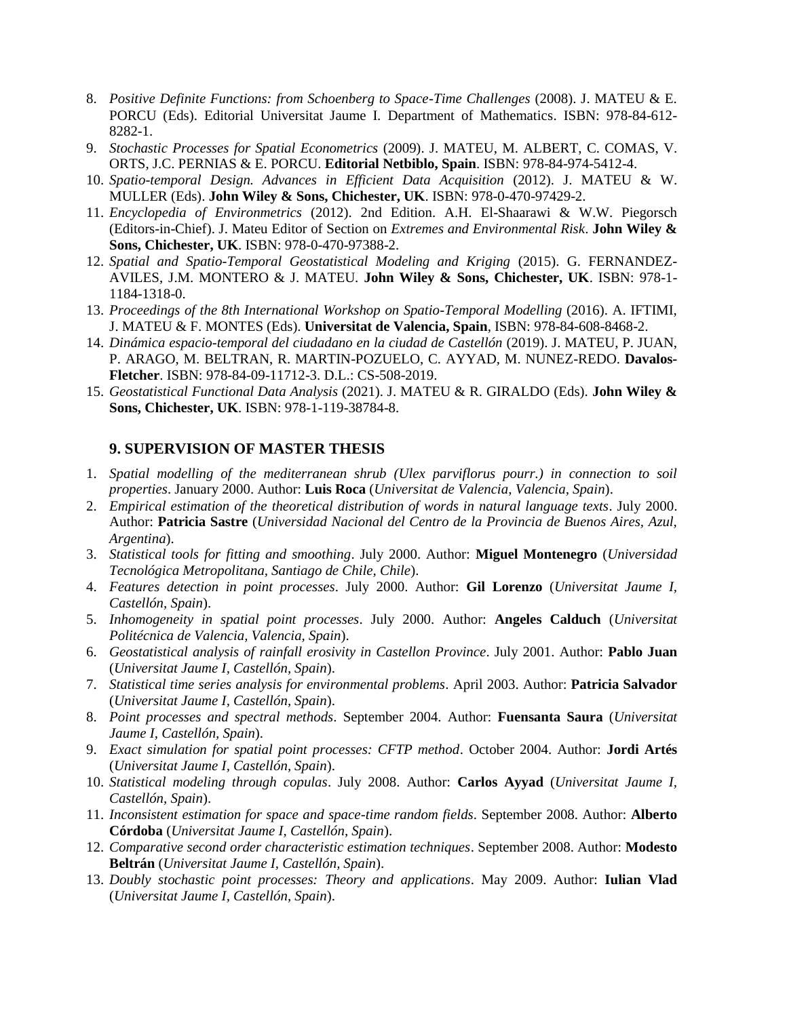- 8. *Positive Definite Functions: from Schoenberg to Space-Time Challenges* (2008). J. MATEU & E. PORCU (Eds). Editorial Universitat Jaume I. Department of Mathematics. ISBN: 978-84-612- 8282-1.
- 9. *Stochastic Processes for Spatial Econometrics* (2009). J. MATEU, M. ALBERT, C. COMAS, V. ORTS, J.C. PERNIAS & E. PORCU. **Editorial Netbiblo, Spain**. ISBN: 978-84-974-5412-4.
- 10. *Spatio-temporal Design. Advances in Efficient Data Acquisition* (2012). J. MATEU & W. MULLER (Eds). **John Wiley & Sons, Chichester, UK**. ISBN: 978-0-470-97429-2.
- 11. *Encyclopedia of Environmetrics* (2012). 2nd Edition. A.H. El-Shaarawi & W.W. Piegorsch (Editors-in-Chief). J. Mateu Editor of Section on *Extremes and Environmental Risk*. **John Wiley & Sons, Chichester, UK**. ISBN: 978-0-470-97388-2.
- 12. *Spatial and Spatio-Temporal Geostatistical Modeling and Kriging* (2015). G. FERNANDEZ-AVILES, J.M. MONTERO & J. MATEU. **John Wiley & Sons, Chichester, UK**. ISBN: 978-1- 1184-1318-0.
- 13. *Proceedings of the 8th International Workshop on Spatio-Temporal Modelling* (2016). A. IFTIMI, J. MATEU & F. MONTES (Eds). **Universitat de Valencia, Spain**, ISBN: 978-84-608-8468-2.
- 14. *Dinámica espacio-temporal del ciudadano en la ciudad de Castellón* (2019). J. MATEU, P. JUAN, P. ARAGO, M. BELTRAN, R. MARTIN-POZUELO, C. AYYAD, M. NUNEZ-REDO. **Davalos-Fletcher**. ISBN: 978-84-09-11712-3. D.L.: CS-508-2019.
- 15. *Geostatistical Functional Data Analysis* (2021). J. MATEU & R. GIRALDO (Eds). **John Wiley & Sons, Chichester, UK**. ISBN: 978-1-119-38784-8.

# **9. SUPERVISION OF MASTER THESIS**

- 1. *Spatial modelling of the mediterranean shrub (Ulex parviflorus pourr.) in connection to soil properties*. January 2000. Author: **Luis Roca** (*Universitat de Valencia, Valencia, Spain*).
- 2. *Empirical estimation of the theoretical distribution of words in natural language texts*. July 2000. Author: **Patricia Sastre** (*Universidad Nacional del Centro de la Provincia de Buenos Aires, Azul, Argentina*).
- 3. *Statistical tools for fitting and smoothing*. July 2000. Author: **Miguel Montenegro** (*Universidad Tecnológica Metropolitana, Santiago de Chile, Chile*).
- 4. *Features detection in point processes*. July 2000. Author: **Gil Lorenzo** (*Universitat Jaume I, Castellón, Spain*).
- 5. *Inhomogeneity in spatial point processes*. July 2000. Author: **Angeles Calduch** (*Universitat Politécnica de Valencia, Valencia, Spain*).
- 6. *Geostatistical analysis of rainfall erosivity in Castellon Province*. July 2001. Author: **Pablo Juan**  (*Universitat Jaume I, Castellón, Spain*).
- 7. *Statistical time series analysis for environmental problems*. April 2003. Author: **Patricia Salvador** (*Universitat Jaume I, Castellón, Spain*).
- 8. *Point processes and spectral methods*. September 2004. Author: **Fuensanta Saura** (*Universitat Jaume I, Castellón, Spain*).
- 9. *Exact simulation for spatial point processes: CFTP method*. October 2004. Author: **Jordi Artés** (*Universitat Jaume I, Castellón, Spain*).
- 10. *Statistical modeling through copulas*. July 2008. Author: **Carlos Ayyad** (*Universitat Jaume I, Castellón, Spain*).
- 11. *Inconsistent estimation for space and space-time random fields*. September 2008. Author: **Alberto Córdoba** (*Universitat Jaume I, Castellón, Spain*).
- 12. *Comparative second order characteristic estimation techniques*. September 2008. Author: **Modesto Beltrán** (*Universitat Jaume I, Castellón, Spain*).
- 13. *Doubly stochastic point processes: Theory and applications*. May 2009. Author: **Iulian Vlad** (*Universitat Jaume I, Castellón, Spain*).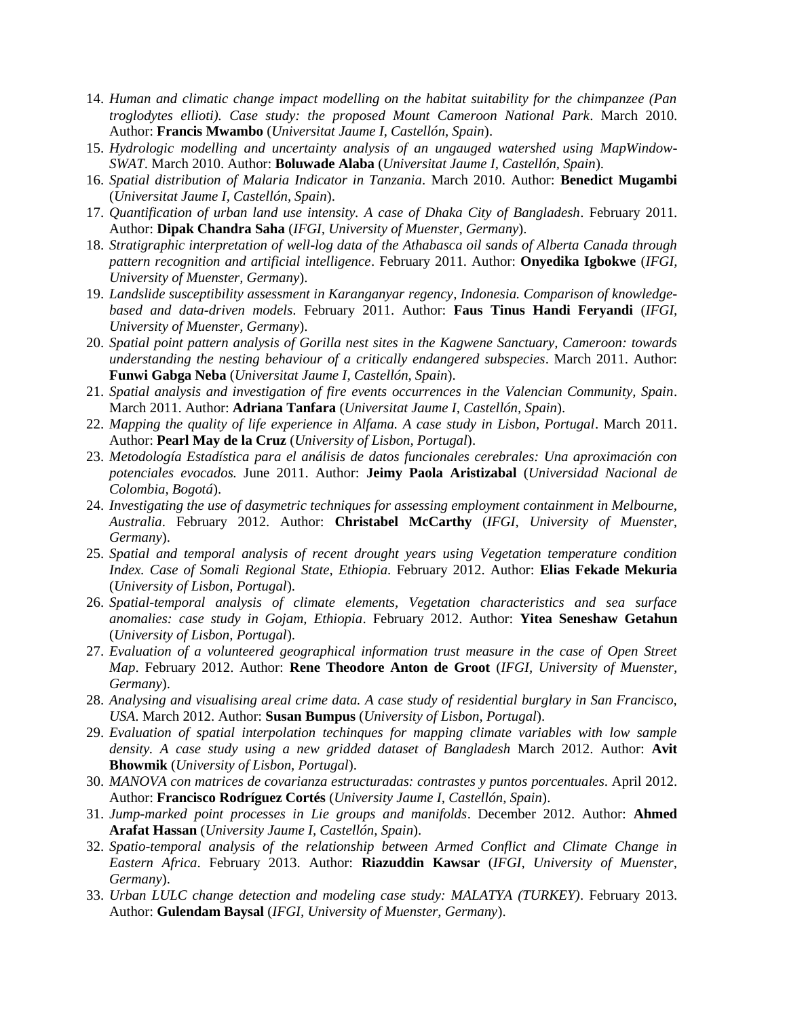- 14. *Human and climatic change impact modelling on the habitat suitability for the chimpanzee (Pan troglodytes ellioti). Case study: the proposed Mount Cameroon National Park*. March 2010. Author: **Francis Mwambo** (*Universitat Jaume I, Castellón, Spain*).
- 15. *Hydrologic modelling and uncertainty analysis of an ungauged watershed using MapWindow-SWAT*. March 2010. Author: **Boluwade Alaba** (*Universitat Jaume I, Castellón, Spain*).
- 16. *Spatial distribution of Malaria Indicator in Tanzania*. March 2010. Author: **Benedict Mugambi** (*Universitat Jaume I, Castellón, Spain*).
- 17. *Quantification of urban land use intensity. A case of Dhaka City of Bangladesh*. February 2011. Author: **Dipak Chandra Saha** (*IFGI, University of Muenster, Germany*).
- 18. *Stratigraphic interpretation of well-log data of the Athabasca oil sands of Alberta Canada through pattern recognition and artificial intelligence*. February 2011. Author: **Onyedika Igbokwe** (*IFGI, University of Muenster, Germany*).
- 19. *Landslide susceptibility assessment in Karanganyar regency, Indonesia. Comparison of knowledgebased and data-driven models*. February 2011. Author: **Faus Tinus Handi Feryandi** (*IFGI, University of Muenster, Germany*).
- 20. *Spatial point pattern analysis of Gorilla nest sites in the Kagwene Sanctuary, Cameroon: towards understanding the nesting behaviour of a critically endangered subspecies*. March 2011. Author: **Funwi Gabga Neba** (*Universitat Jaume I, Castellón, Spain*).
- 21. *Spatial analysis and investigation of fire events occurrences in the Valencian Community, Spain*. March 2011. Author: **Adriana Tanfara** (*Universitat Jaume I, Castellón, Spain*).
- 22. *Mapping the quality of life experience in Alfama. A case study in Lisbon, Portugal*. March 2011. Author: **Pearl May de la Cruz** (*University of Lisbon, Portugal*).
- 23. *Metodología Estadística para el análisis de datos funcionales cerebrales: Una aproximación con potenciales evocados.* June 2011. Author: **Jeimy Paola Aristizabal** (*Universidad Nacional de Colombia, Bogotá*).
- 24. *Investigating the use of dasymetric techniques for assessing employment containment in Melbourne, Australia*. February 2012. Author: **Christabel McCarthy** (*IFGI, University of Muenster, Germany*).
- 25. *Spatial and temporal analysis of recent drought years using Vegetation temperature condition Index. Case of Somali Regional State, Ethiopia*. February 2012. Author: **Elias Fekade Mekuria** (*University of Lisbon, Portugal*).
- 26. *Spatial-temporal analysis of climate elements, Vegetation characteristics and sea surface anomalies: case study in Gojam, Ethiopia*. February 2012. Author: **Yitea Seneshaw Getahun** (*University of Lisbon, Portugal*).
- 27. *Evaluation of a volunteered geographical information trust measure in the case of Open Street Map*. February 2012. Author: **Rene Theodore Anton de Groot** (*IFGI, University of Muenster, Germany*).
- 28. *Analysing and visualising areal crime data. A case study of residential burglary in San Francisco, USA*. March 2012. Author: **Susan Bumpus** (*University of Lisbon, Portugal*).
- 29. *Evaluation of spatial interpolation techinques for mapping climate variables with low sample density. A case study using a new gridded dataset of Bangladesh* March 2012. Author: **Avit Bhowmik** (*University of Lisbon, Portugal*).
- 30. *MANOVA con matrices de covarianza estructuradas: contrastes y puntos porcentuales*. April 2012. Author: **Francisco Rodríguez Cortés** (*University Jaume I, Castellón, Spain*).
- 31. *Jump-marked point processes in Lie groups and manifolds*. December 2012. Author: **Ahmed Arafat Hassan** (*University Jaume I, Castellón, Spain*).
- 32. *Spatio-temporal analysis of the relationship between Armed Conflict and Climate Change in Eastern Africa*. February 2013. Author: **Riazuddin Kawsar** (*IFGI, University of Muenster, Germany*).
- 33. *Urban LULC change detection and modeling case study: MALATYA (TURKEY)*. February 2013. Author: **Gulendam Baysal** (*IFGI, University of Muenster, Germany*).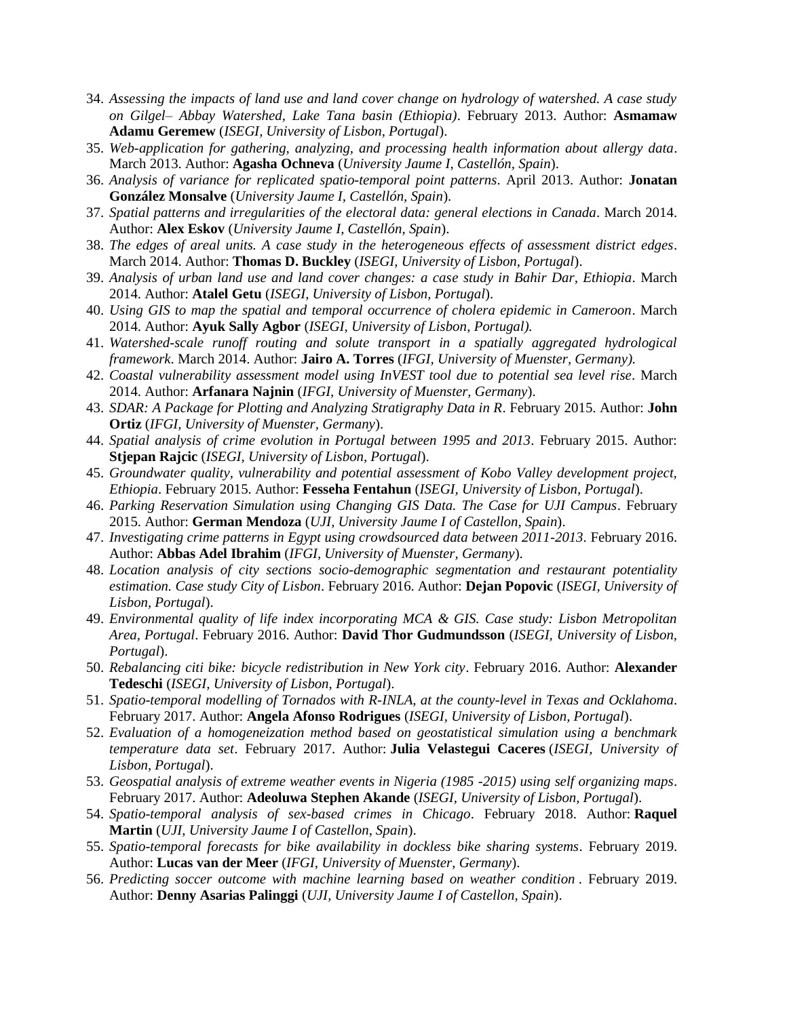- 34. *Assessing the impacts of land use and land cover change on hydrology of watershed. A case study on Gilgel– Abbay Watershed, Lake Tana basin (Ethiopia)*. February 2013. Author: **Asmamaw Adamu Geremew** (*ISEGI, University of Lisbon, Portugal*).
- 35. *Web-application for gathering, analyzing, and processing health information about allergy data*. March 2013. Author: **Agasha Ochneva** (*University Jaume I, Castellón, Spain*).
- 36. *Analysis of variance for replicated spatio-temporal point patterns*. April 2013. Author: **Jonatan González Monsalve** (*University Jaume I, Castellón, Spain*).
- 37. *Spatial patterns and irregularities of the electoral data: general elections in Canada*. March 2014. Author: **Alex Eskov** (*University Jaume I, Castellón, Spain*).
- 38. *The edges of areal units. A case study in the heterogeneous effects of assessment district edges*. March 2014. Author: **Thomas D. Buckley** (*ISEGI, University of Lisbon, Portugal*).
- 39. *Analysis of urban land use and land cover changes: a case study in Bahir Dar, Ethiopia*. March 2014. Author: **Atalel Getu** (*ISEGI, University of Lisbon, Portugal*).
- 40. *Using GIS to map the spatial and temporal occurrence of cholera epidemic in Cameroon*. March 2014. Author: **Ayuk Sally Agbor** (*ISEGI, University of Lisbon, Portugal).*
- 41. *Watershed-scale runoff routing and solute transport in a spatially aggregated hydrological framework*. March 2014. Author: **Jairo A. Torres** (*IFGI, University of Muenster, Germany).*
- 42. *Coastal vulnerability assessment model using InVEST tool due to potential sea level rise*. March 2014. Author: **Arfanara Najnin** (*IFGI, University of Muenster, Germany*).
- 43. *SDAR: A Package for Plotting and Analyzing Stratigraphy Data in R*. February 2015. Author: **John Ortiz** (*IFGI, University of Muenster, Germany*).
- 44. *Spatial analysis of crime evolution in Portugal between 1995 and 2013*. February 2015. Author: **Stjepan Rajcic** (*ISEGI, University of Lisbon, Portugal*).
- 45. *Groundwater quality, vulnerability and potential assessment of Kobo Valley development project, Ethiopia*. February 2015. Author: **Fesseha Fentahun** (*ISEGI, University of Lisbon, Portugal*).
- 46. *Parking Reservation Simulation using Changing GIS Data. The Case for UJI Campus*. February 2015. Author: **German Mendoza** (*UJI, University Jaume I of Castellon, Spain*).
- 47. *Investigating crime patterns in Egypt using crowdsourced data between 2011-2013*. February 2016. Author: **Abbas Adel Ibrahim** (*IFGI, University of Muenster, Germany*).
- 48. *Location analysis of city sections socio-demographic segmentation and restaurant potentiality estimation. Case study City of Lisbon*. February 2016. Author: **Dejan Popovic** (*ISEGI, University of Lisbon, Portugal*).
- 49. *Environmental quality of life index incorporating MCA & GIS. Case study: Lisbon Metropolitan Area, Portugal*. February 2016. Author: **David Thor Gudmundsson** (*ISEGI, University of Lisbon, Portugal*).
- 50. *Rebalancing citi bike: bicycle redistribution in New York city*. February 2016. Author: **Alexander Tedeschi** (*ISEGI, University of Lisbon, Portugal*).
- 51. *Spatio-temporal modelling of Tornados with R-INLA, at the county-level in Texas and Ocklahoma*. February 2017. Author: **Angela Afonso Rodrigues** (*ISEGI, University of Lisbon, Portugal*).
- 52. *Evaluation of a homogeneization method based on geostatistical simulation using a benchmark temperature data set*. February 2017. Author: **Julia Velastegui Caceres** (*ISEGI, University of Lisbon, Portugal*).
- 53. *Geospatial analysis of extreme weather events in Nigeria (1985 -2015) using self organizing maps*. February 2017. Author: **Adeoluwa Stephen Akande** (*ISEGI, University of Lisbon, Portugal*).
- 54. *Spatio-temporal analysis of sex-based crimes in Chicago*. February 2018. Author: **Raquel Martin** (*UJI, University Jaume I of Castellon, Spain*).
- 55. *Spatio-temporal forecasts for bike availability in dockless bike sharing systems*. February 2019. Author: **Lucas van der Meer** (*IFGI, University of Muenster, Germany*).
- 56. *Predicting soccer outcome with machine learning based on weather condition* . February 2019. Author: **Denny Asarias Palinggi** (*UJI, University Jaume I of Castellon, Spain*).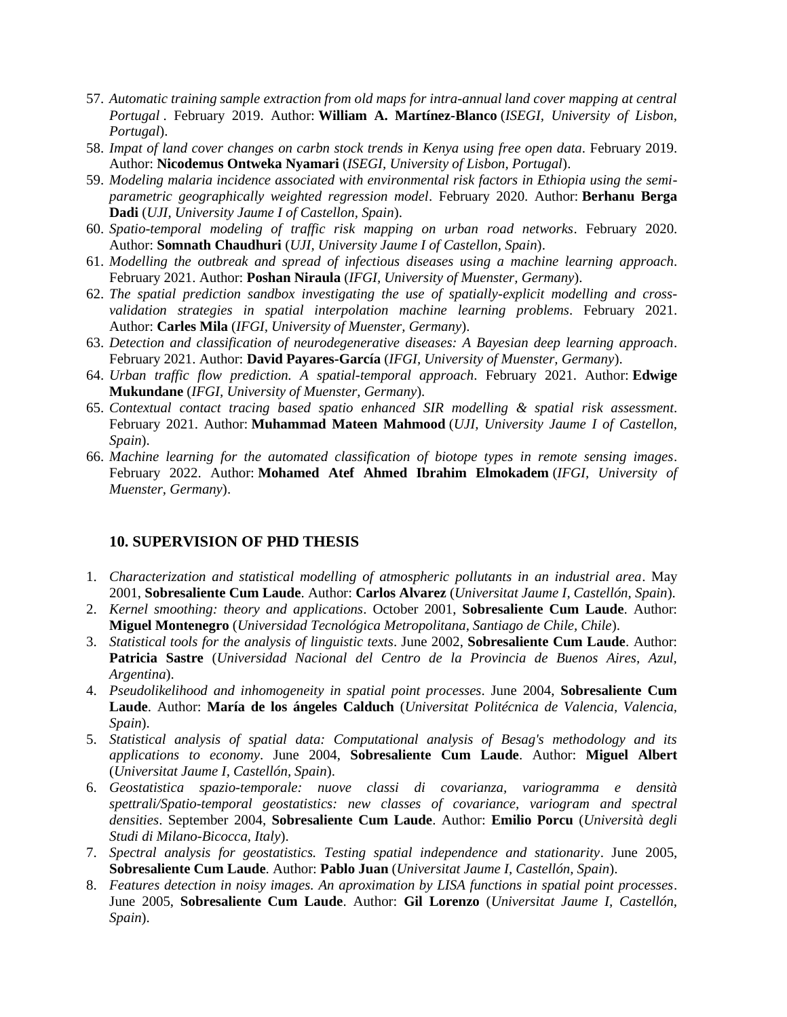- 57. *Automatic training sample extraction from old maps for intra-annual land cover mapping at central Portugal* . February 2019. Author: **William A. Martínez-Blanco** (*ISEGI, University of Lisbon, Portugal*).
- 58. *Impat of land cover changes on carbn stock trends in Kenya using free open data*. February 2019. Author: **Nicodemus Ontweka Nyamari** (*ISEGI, University of Lisbon, Portugal*).
- 59. *Modeling malaria incidence associated with environmental risk factors in Ethiopia using the semiparametric geographically weighted regression model*. February 2020. Author: **Berhanu Berga Dadi** (*UJI, University Jaume I of Castellon, Spain*).
- 60. *Spatio-temporal modeling of traffic risk mapping on urban road networks*. February 2020. Author: **Somnath Chaudhuri** (*UJI, University Jaume I of Castellon, Spain*).
- 61. *Modelling the outbreak and spread of infectious diseases using a machine learning approach*. February 2021. Author: **Poshan Niraula** (*IFGI, University of Muenster, Germany*).
- 62. *The spatial prediction sandbox investigating the use of spatially-explicit modelling and crossvalidation strategies in spatial interpolation machine learning problems*. February 2021. Author: **Carles Mila** (*IFGI, University of Muenster, Germany*).
- 63. *Detection and classification of neurodegenerative diseases: A Bayesian deep learning approach*. February 2021. Author: **David Payares-García** (*IFGI, University of Muenster, Germany*).
- 64. *Urban traffic flow prediction. A spatial-temporal approach*. February 2021. Author: **Edwige Mukundane** (*IFGI, University of Muenster, Germany*).
- 65. *Contextual contact tracing based spatio enhanced SIR modelling & spatial risk assessment*. February 2021. Author: **Muhammad Mateen Mahmood** (*UJI, University Jaume I of Castellon, Spain*).
- 66. *Machine learning for the automated classification of biotope types in remote sensing images*. February 2022. Author: **Mohamed Atef Ahmed Ibrahim Elmokadem** (*IFGI, University of Muenster, Germany*).

#### **10. SUPERVISION OF PHD THESIS**

- 1. *Characterization and statistical modelling of atmospheric pollutants in an industrial area*. May 2001, **Sobresaliente Cum Laude**. Author: **Carlos Alvarez** (*Universitat Jaume I, Castellón, Spain*).
- 2. *Kernel smoothing: theory and applications*. October 2001, **Sobresaliente Cum Laude**. Author: **Miguel Montenegro** (*Universidad Tecnológica Metropolitana, Santiago de Chile, Chile*).
- 3. *Statistical tools for the analysis of linguistic texts*. June 2002, **Sobresaliente Cum Laude**. Author: **Patricia Sastre** (*Universidad Nacional del Centro de la Provincia de Buenos Aires, Azul, Argentina*).
- 4. *Pseudolikelihood and inhomogeneity in spatial point processes*. June 2004, **Sobresaliente Cum Laude**. Author: **María de los ángeles Calduch** (*Universitat Politécnica de Valencia, Valencia, Spain*).
- 5. *Statistical analysis of spatial data: Computational analysis of Besag's methodology and its applications to economy*. June 2004, **Sobresaliente Cum Laude**. Author: **Miguel Albert** (*Universitat Jaume I, Castellón, Spain*).
- 6. *Geostatistica spazio-temporale: nuove classi di covarianza, variogramma e densità spettrali/Spatio-temporal geostatistics: new classes of covariance, variogram and spectral densities*. September 2004, **Sobresaliente Cum Laude**. Author: **Emilio Porcu** (*Università degli Studi di Milano-Bicocca, Italy*).
- 7. *Spectral analysis for geostatistics. Testing spatial independence and stationarity*. June 2005, **Sobresaliente Cum Laude**. Author: **Pablo Juan** (*Universitat Jaume I, Castellón, Spain*).
- 8. *Features detection in noisy images. An aproximation by LISA functions in spatial point processes*. June 2005, **Sobresaliente Cum Laude**. Author: **Gil Lorenzo** (*Universitat Jaume I, Castellón, Spain*).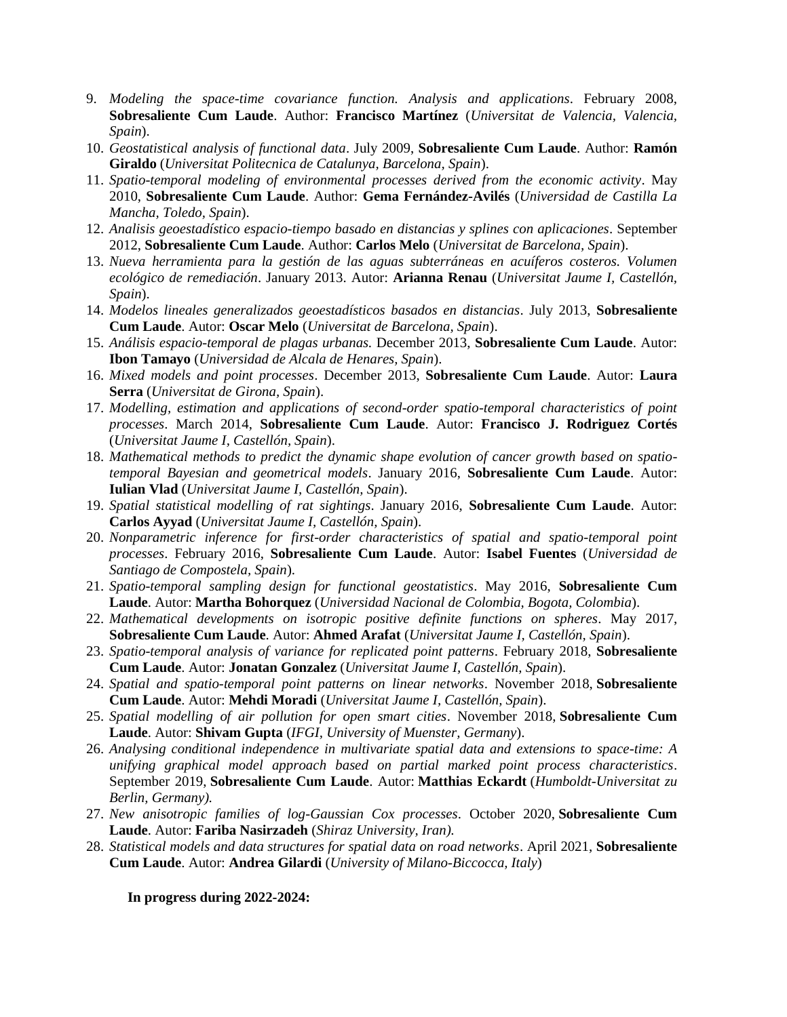- 9. *Modeling the space-time covariance function. Analysis and applications*. February 2008, **Sobresaliente Cum Laude**. Author: **Francisco Martínez** (*Universitat de Valencia, Valencia, Spain*).
- 10. *Geostatistical analysis of functional data*. July 2009, **Sobresaliente Cum Laude**. Author: **Ramón Giraldo** (*Universitat Politecnica de Catalunya, Barcelona, Spain*).
- 11. *Spatio-temporal modeling of environmental processes derived from the economic activity*. May 2010, **Sobresaliente Cum Laude**. Author: **Gema Fernández-Avilés** (*Universidad de Castilla La Mancha, Toledo, Spain*).
- 12. *Analisis geoestadístico espacio-tiempo basado en distancias y splines con aplicaciones*. September 2012, **Sobresaliente Cum Laude**. Author: **Carlos Melo** (*Universitat de Barcelona, Spain*).
- 13. *Nueva herramienta para la gestión de las aguas subterráneas en acuíferos costeros. Volumen ecológico de remediación*. January 2013. Autor: **Arianna Renau** (*Universitat Jaume I, Castellón, Spain*).
- 14. *Modelos lineales generalizados geoestadísticos basados en distancias*. July 2013, **Sobresaliente Cum Laude**. Autor: **Oscar Melo** (*Universitat de Barcelona, Spain*).
- 15. *Análisis espacio-temporal de plagas urbanas.* December 2013, **Sobresaliente Cum Laude**. Autor: **Ibon Tamayo** (*Universidad de Alcala de Henares, Spain*).
- 16. *Mixed models and point processes*. December 2013, **Sobresaliente Cum Laude**. Autor: **Laura Serra** (*Universitat de Girona, Spain*).
- 17. *Modelling, estimation and applications of second-order spatio-temporal characteristics of point processes*. March 2014, **Sobresaliente Cum Laude**. Autor: **Francisco J. Rodriguez Cortés** (*Universitat Jaume I, Castellón, Spain*).
- 18. *Mathematical methods to predict the dynamic shape evolution of cancer growth based on spatiotemporal Bayesian and geometrical models*. January 2016, **Sobresaliente Cum Laude**. Autor: **Iulian Vlad** (*Universitat Jaume I, Castellón, Spain*).
- 19. *Spatial statistical modelling of rat sightings*. January 2016, **Sobresaliente Cum Laude**. Autor: **Carlos Ayyad** (*Universitat Jaume I, Castellón, Spain*).
- 20. *Nonparametric inference for first-order characteristics of spatial and spatio-temporal point processes*. February 2016, **Sobresaliente Cum Laude**. Autor: **Isabel Fuentes** (*Universidad de Santiago de Compostela, Spain*).
- 21. *Spatio-temporal sampling design for functional geostatistics*. May 2016, **Sobresaliente Cum Laude**. Autor: **Martha Bohorquez** (*Universidad Nacional de Colombia, Bogota, Colombia*).
- 22. *Mathematical developments on isotropic positive definite functions on spheres*. May 2017, **Sobresaliente Cum Laude**. Autor: **Ahmed Arafat** (*Universitat Jaume I, Castellón, Spain*).
- 23. *Spatio-temporal analysis of variance for replicated point patterns*. February 2018, **Sobresaliente Cum Laude**. Autor: **Jonatan Gonzalez** (*Universitat Jaume I, Castellón, Spain*).
- 24. *Spatial and spatio-temporal point patterns on linear networks*. November 2018, **Sobresaliente Cum Laude**. Autor: **Mehdi Moradi** (*Universitat Jaume I, Castellón, Spain*).
- 25. *Spatial modelling of air pollution for open smart cities*. November 2018, **Sobresaliente Cum Laude**. Autor: **Shivam Gupta** (*IFGI, University of Muenster, Germany*).
- 26. *Analysing conditional independence in multivariate spatial data and extensions to space-time: A unifying graphical model approach based on partial marked point process characteristics*. September 2019, **Sobresaliente Cum Laude**. Autor: **Matthias Eckardt** (*Humboldt-Universitat zu Berlin, Germany).*
- 27. *New anisotropic families of log-Gaussian Cox processes*. October 2020, **Sobresaliente Cum Laude**. Autor: **Fariba Nasirzadeh** (*Shiraz University, Iran).*
- 28. *Statistical models and data structures for spatial data on road networks*. April 2021, **Sobresaliente Cum Laude**. Autor: **Andrea Gilardi** (*University of Milano-Biccocca, Italy*)

**In progress during 2022-2024:**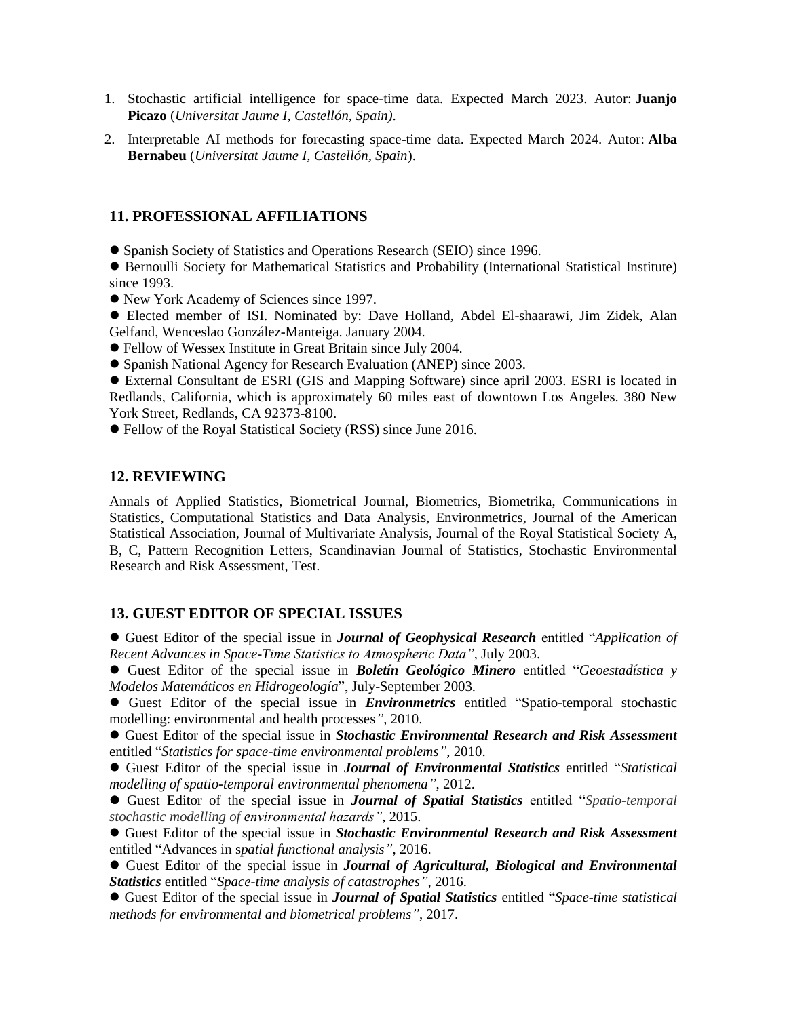- 1. Stochastic artificial intelligence for space-time data. Expected March 2023. Autor: **Juanjo Picazo** (*Universitat Jaume I, Castellón, Spain)*.
- 2. Interpretable AI methods for forecasting space-time data. Expected March 2024. Autor: **Alba Bernabeu** (*Universitat Jaume I, Castellón, Spain*).

#### **11. PROFESSIONAL AFFILIATIONS**

Spanish Society of Statistics and Operations Research (SEIO) since 1996.

 Bernoulli Society for Mathematical Statistics and Probability (International Statistical Institute) since 1993.

- New York Academy of Sciences since 1997.
- Elected member of ISI. Nominated by: Dave Holland, Abdel El-shaarawi, Jim Zidek, Alan Gelfand, Wenceslao González-Manteiga. January 2004.
- Fellow of Wessex Institute in Great Britain since July 2004.
- Spanish National Agency for Research Evaluation (ANEP) since 2003.

 External Consultant de ESRI (GIS and Mapping Software) since april 2003. ESRI is located in Redlands, California, which is approximately 60 miles east of downtown Los Angeles. 380 New York Street, Redlands, CA 92373-8100.

Fellow of the Royal Statistical Society (RSS) since June 2016.

#### **12. REVIEWING**

Annals of Applied Statistics, Biometrical Journal, Biometrics, Biometrika, Communications in Statistics, Computational Statistics and Data Analysis, Environmetrics, Journal of the American Statistical Association, Journal of Multivariate Analysis, Journal of the Royal Statistical Society A, B, C, Pattern Recognition Letters, Scandinavian Journal of Statistics, Stochastic Environmental Research and Risk Assessment, Test.

# **13. GUEST EDITOR OF SPECIAL ISSUES**

 Guest Editor of the special issue in *Journal of Geophysical Research* entitled "*Application of Recent Advances in Space-Time Statistics to Atmospheric Data"*, July 2003.

 Guest Editor of the special issue in *Boletín Geológico Minero* entitled "*Geoestadística y Modelos Matemáticos en Hidrogeología*", July-September 2003.

 Guest Editor of the special issue in *Environmetrics* entitled "Spatio-temporal stochastic modelling: environmental and health processes*"*, 2010.

 Guest Editor of the special issue in *Stochastic Environmental Research and Risk Assessment* entitled "*Statistics for space-time environmental problems"*, 2010.

 Guest Editor of the special issue in *Journal of Environmental Statistics* entitled "*Statistical modelling of spatio-temporal environmental phenomena"*, 2012.

 Guest Editor of the special issue in *Journal of Spatial Statistics* entitled "*Spatio-temporal stochastic modelling of environmental hazards"*, 2015.

 Guest Editor of the special issue in *Stochastic Environmental Research and Risk Assessment* entitled "Advances in s*patial functional analysis"*, 2016.

 Guest Editor of the special issue in *Journal of Agricultural, Biological and Environmental Statistics* entitled "*Space-time analysis of catastrophes"*, 2016.

 Guest Editor of the special issue in *Journal of Spatial Statistics* entitled "*Space-time statistical methods for environmental and biometrical problems"*, 2017.